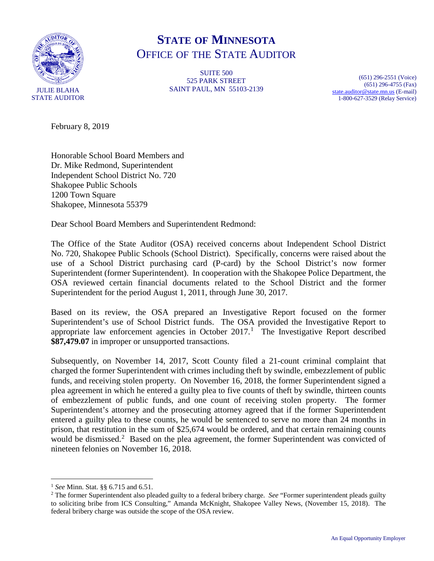

# **STATE OF MINNESOTA** OFFICE OF THE STATE AUDITOR

SUITE 500 525 PARK STREET SAINT PAUL, MN 55103-2139

(651) 296-2551 (Voice) (651) 296-4755 (Fax) [state.auditor@state.mn.us](mailto:state.auditor@state.mn.us) (E-mail) 1-800-627-3529 (Relay Service)

February 8, 2019

Honorable School Board Members and Dr. Mike Redmond, Superintendent Independent School District No. 720 Shakopee Public Schools 1200 Town Square Shakopee, Minnesota 55379

Dear School Board Members and Superintendent Redmond:

The Office of the State Auditor (OSA) received concerns about Independent School District No. 720, Shakopee Public Schools (School District). Specifically, concerns were raised about the use of a School District purchasing card (P-card) by the School District's now former Superintendent (former Superintendent). In cooperation with the Shakopee Police Department, the OSA reviewed certain financial documents related to the School District and the former Superintendent for the period August 1, 2011, through June 30, 2017.

Based on its review, the OSA prepared an Investigative Report focused on the former Superintendent's use of School District funds. The OSA provided the Investigative Report to appropriate law enforcement agencies in October  $2017<sup>1</sup>$  $2017<sup>1</sup>$  $2017<sup>1</sup>$  The Investigative Report described **\$87,479.07** in improper or unsupported transactions.

Subsequently, on November 14, 2017, Scott County filed a 21-count criminal complaint that charged the former Superintendent with crimes including theft by swindle, embezzlement of public funds, and receiving stolen property. On November 16, 2018, the former Superintendent signed a plea agreement in which he entered a guilty plea to five counts of theft by swindle, thirteen counts of embezzlement of public funds, and one count of receiving stolen property. The former Superintendent's attorney and the prosecuting attorney agreed that if the former Superintendent entered a guilty plea to these counts, he would be sentenced to serve no more than 24 months in prison, that restitution in the sum of \$25,674 would be ordered, and that certain remaining counts would be dismissed.<sup>[2](#page-0-1)</sup> Based on the plea agreement, the former Superintendent was convicted of nineteen felonies on November 16, 2018.

<span id="page-0-0"></span> <sup>1</sup> *See* Minn. Stat. §§ 6.715 and 6.51.

<span id="page-0-1"></span><sup>2</sup> The former Superintendent also pleaded guilty to a federal bribery charge. *See* "Former superintendent pleads guilty to soliciting bribe from ICS Consulting," Amanda McKnight, Shakopee Valley News, (November 15, 2018). The federal bribery charge was outside the scope of the OSA review.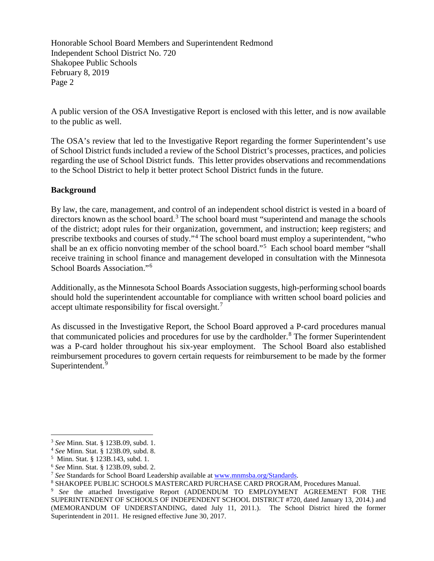A public version of the OSA Investigative Report is enclosed with this letter, and is now available to the public as well.

The OSA's review that led to the Investigative Report regarding the former Superintendent's use of School District funds included a review of the School District's processes, practices, and policies regarding the use of School District funds. This letter provides observations and recommendations to the School District to help it better protect School District funds in the future.

# **Background**

By law, the care, management, and control of an independent school district is vested in a board of directors known as the school board.<sup>[3](#page-1-0)</sup> The school board must "superintend and manage the schools of the district; adopt rules for their organization, government, and instruction; keep registers; and prescribe textbooks and courses of study."[4](#page-1-1) The school board must employ a superintendent, "who shall be an ex officio nonvoting member of the school board."<sup>[5](#page-1-2)</sup> Each school board member "shall receive training in school finance and management developed in consultation with the Minnesota School Boards Association."<sup>[6](#page-1-3)</sup>

Additionally, as the Minnesota School Boards Association suggests, high-performing school boards should hold the superintendent accountable for compliance with written school board policies and accept ultimate responsibility for fiscal oversight. $7$ 

As discussed in the Investigative Report, the School Board approved a P-card procedures manual that communicated policies and procedures for use by the cardholder.<sup>[8](#page-1-5)</sup> The former Superintendent was a P-card holder throughout his six-year employment. The School Board also established reimbursement procedures to govern certain requests for reimbursement to be made by the former Superintendent.<sup>[9](#page-1-6)</sup>

<span id="page-1-0"></span> <sup>3</sup> *See* Minn. Stat. § 123B.09, subd. 1.

<span id="page-1-1"></span><sup>4</sup> *See* Minn. Stat. § 123B.09, subd. 8.

<span id="page-1-2"></span><sup>5</sup> Minn. Stat. § 123B.143, subd. 1.

<span id="page-1-3"></span><sup>&</sup>lt;sup>6</sup> See Minn. Stat. § 123B.09, subd. 2.<br><sup>7</sup> See Standards for School Board Leadership available at <u>www.mnmsba.org/Standards</u>.

<span id="page-1-5"></span><span id="page-1-4"></span><sup>&</sup>lt;sup>8</sup> SHAKOPEE PUBLIC SCHOOLS MASTERCARD PURCHASE CARD PROGRAM, Procedures Manual.

<span id="page-1-6"></span><sup>9</sup> *See* the attached Investigative Report (ADDENDUM TO EMPLOYMENT AGREEMENT FOR THE SUPERINTENDENT OF SCHOOLS OF INDEPENDENT SCHOOL DISTRICT #720, dated January 13, 2014.) and (MEMORANDUM OF UNDERSTANDING, dated July 11, 2011.). The School District hired the former Superintendent in 2011. He resigned effective June 30, 2017.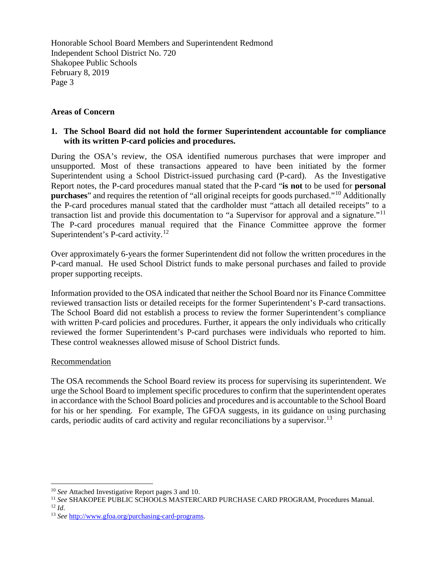#### **Areas of Concern**

# **1. The School Board did not hold the former Superintendent accountable for compliance with its written P-card policies and procedures.**

During the OSA's review, the OSA identified numerous purchases that were improper and unsupported. Most of these transactions appeared to have been initiated by the former Superintendent using a School District-issued purchasing card (P-card). As the Investigative Report notes, the P-card procedures manual stated that the P-card "**is not** to be used for **personal purchases**" and requires the retention of "all original receipts for goods purchased."<sup>[10](#page-2-0)</sup> Additionally the P-card procedures manual stated that the cardholder must "attach all detailed receipts" to a transaction list and provide this documentation to "a Supervisor for approval and a signature."[11](#page-2-1)  The P-card procedures manual required that the Finance Committee approve the former Superintendent's P-card activity.<sup>[12](#page-2-2)</sup>

Over approximately 6-years the former Superintendent did not follow the written procedures in the P-card manual. He used School District funds to make personal purchases and failed to provide proper supporting receipts.

Information provided to the OSA indicated that neither the School Board nor its Finance Committee reviewed transaction lists or detailed receipts for the former Superintendent's P-card transactions. The School Board did not establish a process to review the former Superintendent's compliance with written P-card policies and procedures. Further, it appears the only individuals who critically reviewed the former Superintendent's P-card purchases were individuals who reported to him. These control weaknesses allowed misuse of School District funds.

#### Recommendation

The OSA recommends the School Board review its process for supervising its superintendent. We urge the School Board to implement specific procedures to confirm that the superintendent operates in accordance with the School Board policies and procedures and is accountable to the School Board for his or her spending. For example, The GFOA suggests, in its guidance on using purchasing cards, periodic audits of card activity and regular reconciliations by a supervisor.<sup>[13](#page-2-3)</sup>

<span id="page-2-0"></span> <sup>10</sup> *See* Attached Investigative Report pages 3 and 10.

<span id="page-2-2"></span><span id="page-2-1"></span><sup>11</sup> *See* SHAKOPEE PUBLIC SCHOOLS MASTERCARD PURCHASE CARD PROGRAM, Procedures Manual. <sup>12</sup> *Id*.

<span id="page-2-3"></span><sup>13</sup> *See* [http://www.gfoa.org/purchasing-card-programs.](http://www.gfoa.org/purchasing-card-programs)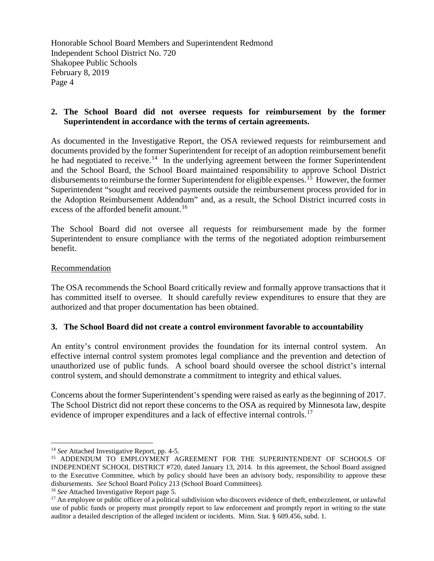#### **2. The School Board did not oversee requests for reimbursement by the former Superintendent in accordance with the terms of certain agreements.**

As documented in the Investigative Report, the OSA reviewed requests for reimbursement and documents provided by the former Superintendent for receipt of an adoption reimbursement benefit he had negotiated to receive.<sup>[14](#page-3-0)</sup> In the underlying agreement between the former Superintendent and the School Board, the School Board maintained responsibility to approve School District disbursements to reimburse the former Superintendent for eligible expenses.<sup>[15](#page-3-1)</sup> However, the former Superintendent "sought and received payments outside the reimbursement process provided for in the Adoption Reimbursement Addendum" and, as a result, the School District incurred costs in excess of the afforded benefit amount.<sup>16</sup>

The School Board did not oversee all requests for reimbursement made by the former Superintendent to ensure compliance with the terms of the negotiated adoption reimbursement benefit.

#### **Recommendation**

The OSA recommends the School Board critically review and formally approve transactions that it has committed itself to oversee. It should carefully review expenditures to ensure that they are authorized and that proper documentation has been obtained.

#### **3. The School Board did not create a control environment favorable to accountability**

An entity's control environment provides the foundation for its internal control system. An effective internal control system promotes legal compliance and the prevention and detection of unauthorized use of public funds. A school board should oversee the school district's internal control system, and should demonstrate a commitment to integrity and ethical values.

Concerns about the former Superintendent's spending were raised as early as the beginning of 2017. The School District did not report these concerns to the OSA as required by Minnesota law, despite evidence of improper expenditures and a lack of effective internal controls.<sup>[17](#page-3-3)</sup>

<span id="page-3-0"></span> <sup>14</sup> *See* Attached Investigative Report, pp. 4-5.

<span id="page-3-1"></span><sup>&</sup>lt;sup>15</sup> ADDENDUM TO EMPLOYMENT AGREEMENT FOR THE SUPERINTENDENT OF SCHOOLS OF INDEPENDENT SCHOOL DISTRICT #720, dated January 13, 2014. In this agreement, the School Board assigned to the Executive Committee, which by policy should have been an advisory body, responsibility to approve these disbursements. *See* School Board Policy 213 (School Board Committees).

<span id="page-3-2"></span><sup>16</sup> *See* Attached Investigative Report page 5.

<span id="page-3-3"></span> $17$  An employee or public officer of a political subdivision who discovers evidence of theft, embezzlement, or unlawful use of public funds or property must promptly report to law enforcement and promptly report in writing to the state auditor a detailed description of the alleged incident or incidents. Minn. Stat. § 609.456, subd. 1.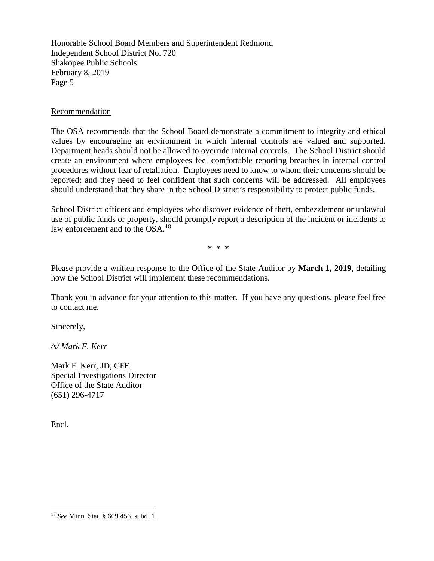#### Recommendation

The OSA recommends that the School Board demonstrate a commitment to integrity and ethical values by encouraging an environment in which internal controls are valued and supported. Department heads should not be allowed to override internal controls. The School District should create an environment where employees feel comfortable reporting breaches in internal control procedures without fear of retaliation. Employees need to know to whom their concerns should be reported; and they need to feel confident that such concerns will be addressed. All employees should understand that they share in the School District's responsibility to protect public funds.

School District officers and employees who discover evidence of theft, embezzlement or unlawful use of public funds or property, should promptly report a description of the incident or incidents to law enforcement and to the OSA.[18](#page-4-0)

**\* \* \***

Please provide a written response to the Office of the State Auditor by **March 1, 2019**, detailing how the School District will implement these recommendations.

Thank you in advance for your attention to this matter. If you have any questions, please feel free to contact me.

Sincerely,

*/s/ Mark F. Kerr*

Mark F. Kerr, JD, CFE Special Investigations Director Office of the State Auditor (651) 296-4717

Encl.

<span id="page-4-0"></span> <sup>18</sup> *See* Minn. Stat. § 609.456, subd. 1.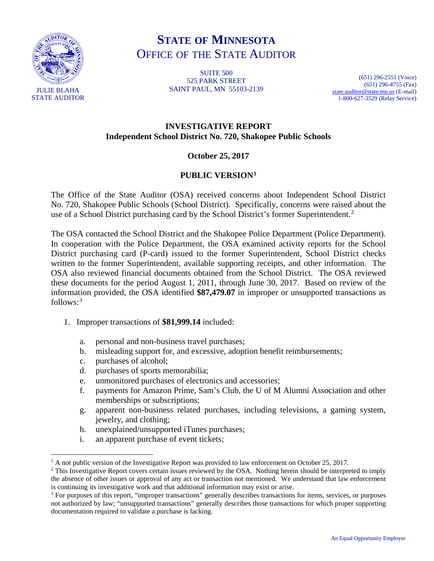

# **STATE OF MINNESOTA** OFFICE OF THE STATE AUDITOR

SUITE 500 525 PARK STREET SAINT PAUL, MN 55103-2139

(651) 296-2551 (Voice) (651) 296-4755 (Fax) [state.auditor@state.mn.us](mailto:state.auditor@state.mn.us) (E-mail) 1-800-627-3529 (Relay Service)

# **INVESTIGATIVE REPORT Independent School District No. 720, Shakopee Public Schools**

# **October 25, 2017**

# **PUBLIC VERSION[1](#page-5-0)**

The Office of the State Auditor (OSA) received concerns about Independent School District No. 720, Shakopee Public Schools (School District). Specifically, concerns were raised about the use of a School District purchasing card by the School District's former Superintendent.<sup>[2](#page-5-1)</sup>

The OSA contacted the School District and the Shakopee Police Department (Police Department). In cooperation with the Police Department, the OSA examined activity reports for the School District purchasing card (P-card) issued to the former Superintendent, School District checks written to the former Superintendent, available supporting receipts, and other information. The OSA also reviewed financial documents obtained from the School District. The OSA reviewed these documents for the period August 1, 2011, through June 30, 2017. Based on review of the information provided, the OSA identified **\$87,479.07** in improper or unsupported transactions as  $follows:<sup>3</sup>$  $follows:<sup>3</sup>$  $follows:<sup>3</sup>$ 

- 1. Improper transactions of **\$81,999.14** included:
	- a. personal and non-business travel purchases;
	- b. misleading support for, and excessive, adoption benefit reimbursements;
	- c. purchases of alcohol;
	- d. purchases of sports memorabilia;
	- e. unmonitored purchases of electronics and accessories;
	- f. payments for Amazon Prime, Sam's Club, the U of M Alumni Association and other memberships or subscriptions;
	- g. apparent non-business related purchases, including televisions, a gaming system, jewelry, and clothing;
	- h. unexplained/unsupported iTunes purchases;
	- i. an apparent purchase of event tickets;

<span id="page-5-0"></span> $1$  A not public version of the Investigative Report was provided to law enforcement on October 25, 2017.

<span id="page-5-1"></span><sup>&</sup>lt;sup>2</sup> This Investigative Report covers certain issues reviewed by the OSA. Nothing herein should be interpreted to imply the absence of other issues or approval of any act or transaction not mentioned. We understand that law enforcement is continuing its investigative work and that additional information may exist or arise.

<span id="page-5-2"></span><sup>&</sup>lt;sup>3</sup> For purposes of this report, "improper transactions" generally describes transactions for items, services, or purposes not authorized by law; "unsupported transactions" generally describes those transactions for which proper supporting documentation required to validate a purchase is lacking.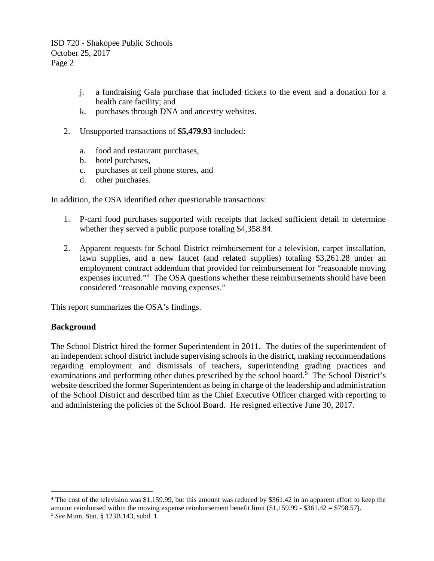- j. a fundraising Gala purchase that included tickets to the event and a donation for a health care facility; and
- k. purchases through DNA and ancestry websites.
- 2. Unsupported transactions of **\$5,479.93** included:
	- a. food and restaurant purchases,
	- b. hotel purchases,
	- c. purchases at cell phone stores, and
	- d. other purchases.

In addition, the OSA identified other questionable transactions:

- 1. P-card food purchases supported with receipts that lacked sufficient detail to determine whether they served a public purpose totaling \$4,358.84.
- 2. Apparent requests for School District reimbursement for a television, carpet installation, lawn supplies, and a new faucet (and related supplies) totaling \$3,261.28 under an employment contract addendum that provided for reimbursement for "reasonable moving expenses incurred."[4](#page-6-0) The OSA questions whether these reimbursements should have been considered "reasonable moving expenses."

This report summarizes the OSA's findings.

#### **Background**

The School District hired the former Superintendent in 2011. The duties of the superintendent of an independent school district include supervising schools in the district, making recommendations regarding employment and dismissals of teachers, superintending grading practices and examinations and performing other duties prescribed by the school board.<sup>[5](#page-6-1)</sup> The School District's website described the former Superintendent as being in charge of the leadership and administration of the School District and described him as the Chief Executive Officer charged with reporting to and administering the policies of the School Board. He resigned effective June 30, 2017.

<span id="page-6-1"></span><span id="page-6-0"></span><sup>&</sup>lt;sup>4</sup> The cost of the television was \$1,159.99, but this amount was reduced by \$361.42 in an apparent effort to keep the amount reimbursed within the moving expense reimbursement benefit limit  $(\$1,159.99 - \$361.42 = \$798.57)$ . <sup>5</sup> *See* Minn. Stat. § 123B.143, subd. 1.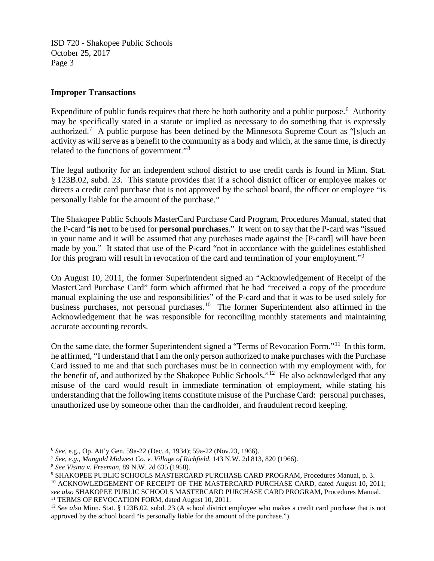#### **Improper Transactions**

Expenditure of public funds requires that there be both authority and a public purpose.<sup>[6](#page-7-0)</sup> Authority may be specifically stated in a statute or implied as necessary to do something that is expressly authorized.<sup>[7](#page-7-1)</sup> A public purpose has been defined by the Minnesota Supreme Court as "[s]uch an activity as will serve as a benefit to the community as a body and which, at the same time, is directly related to the functions of government."[8](#page-7-2)

The legal authority for an independent school district to use credit cards is found in Minn. Stat. § 123B.02, subd. 23. This statute provides that if a school district officer or employee makes or directs a credit card purchase that is not approved by the school board, the officer or employee "is personally liable for the amount of the purchase."

The Shakopee Public Schools MasterCard Purchase Card Program, Procedures Manual, stated that the P-card "**is not** to be used for **personal purchases**." It went on to say that the P-card was "issued in your name and it will be assumed that any purchases made against the [P-card] will have been made by you." It stated that use of the P-card "not in accordance with the guidelines established for this program will result in revocation of the card and termination of your employment."<sup>[9](#page-7-3)</sup>

On August 10, 2011, the former Superintendent signed an "Acknowledgement of Receipt of the MasterCard Purchase Card" form which affirmed that he had "received a copy of the procedure manual explaining the use and responsibilities" of the P-card and that it was to be used solely for business purchases, not personal purchases.<sup>[10](#page-7-4)</sup> The former Superintendent also affirmed in the Acknowledgement that he was responsible for reconciling monthly statements and maintaining accurate accounting records.

On the same date, the former Superintendent signed a "Terms of Revocation Form."<sup>[11](#page-7-5)</sup> In this form, he affirmed, "I understand that I am the only person authorized to make purchases with the Purchase Card issued to me and that such purchases must be in connection with my employment with, for the benefit of, and authorized by the Shakopee Public Schools."[12](#page-7-6) He also acknowledged that any misuse of the card would result in immediate termination of employment, while stating his understanding that the following items constitute misuse of the Purchase Card: personal purchases, unauthorized use by someone other than the cardholder, and fraudulent record keeping.

<span id="page-7-0"></span> <sup>6</sup> *See*, e.g., Op. Att'y Gen. 59a-22 (Dec. 4, 1934); 59a-22 (Nov.23, 1966).

<span id="page-7-1"></span><sup>7</sup> *See, e.g., Mangold Midwest Co. v. Village of Richfield*, 143 N.W. 2d 813, 820 (1966).

<span id="page-7-2"></span><sup>8</sup> *See Visina v. Freeman*, 89 N.W. 2d 635 (1958).

<span id="page-7-3"></span><sup>9</sup> SHAKOPEE PUBLIC SCHOOLS MASTERCARD PURCHASE CARD PROGRAM, Procedures Manual, p. 3.

<span id="page-7-4"></span><sup>&</sup>lt;sup>10</sup> ACKNOWLEDGEMENT OF RECEIPT OF THE MASTERCARD PURCHASE CARD, dated August 10, 2011; *see also* SHAKOPEE PUBLIC SCHOOLS MASTERCARD PURCHASE CARD PROGRAM, Procedures Manual. <sup>11</sup> TERMS OF REVOCATION FORM, dated August 10, 2011.

<span id="page-7-6"></span><span id="page-7-5"></span><sup>12</sup> *See also* Minn. Stat. § 123B.02, subd. 23 (A school district employee who makes a credit card purchase that is not approved by the school board "is personally liable for the amount of the purchase.").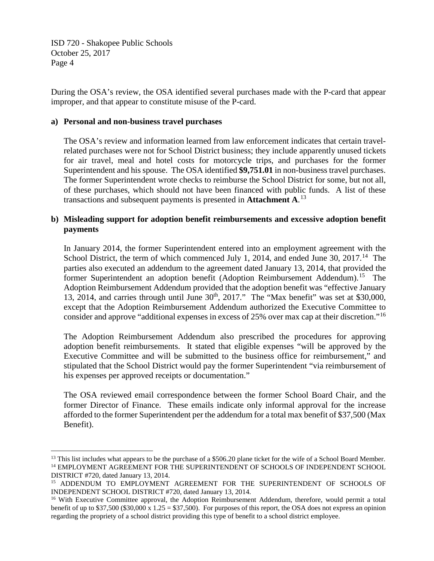During the OSA's review, the OSA identified several purchases made with the P-card that appear improper, and that appear to constitute misuse of the P-card.

#### **a) Personal and non-business travel purchases**

The OSA's review and information learned from law enforcement indicates that certain travelrelated purchases were not for School District business; they include apparently unused tickets for air travel, meal and hotel costs for motorcycle trips, and purchases for the former Superintendent and his spouse. The OSA identified **\$9,751.01** in non-business travel purchases. The former Superintendent wrote checks to reimburse the School District for some, but not all, of these purchases, which should not have been financed with public funds. A list of these transactions and subsequent payments is presented in **Attachment A**. [13](#page-8-0)

# **b) Misleading support for adoption benefit reimbursements and excessive adoption benefit payments**

In January 2014, the former Superintendent entered into an employment agreement with the School District, the term of which commenced July 1, 20[14](#page-8-1), and ended June 30, 2017.<sup>14</sup> The parties also executed an addendum to the agreement dated January 13, 2014, that provided the former Superintendent an adoption benefit (Adoption Reimbursement Addendum).<sup>[15](#page-8-2)</sup> The Adoption Reimbursement Addendum provided that the adoption benefit was "effective January 13, 2014, and carries through until June  $30<sup>th</sup>$ , 2017." The "Max benefit" was set at \$30,000, except that the Adoption Reimbursement Addendum authorized the Executive Committee to consider and approve "additional expenses in excess of 25% over max cap at their discretion."<sup>16</sup>

The Adoption Reimbursement Addendum also prescribed the procedures for approving adoption benefit reimbursements. It stated that eligible expenses "will be approved by the Executive Committee and will be submitted to the business office for reimbursement," and stipulated that the School District would pay the former Superintendent "via reimbursement of his expenses per approved receipts or documentation."

The OSA reviewed email correspondence between the former School Board Chair, and the former Director of Finance. These emails indicate only informal approval for the increase afforded to the former Superintendent per the addendum for a total max benefit of \$37,500 (Max Benefit).

<span id="page-8-1"></span><span id="page-8-0"></span><sup>&</sup>lt;sup>13</sup> This list includes what appears to be the purchase of a \$506.20 plane ticket for the wife of a School Board Member.  $^{14}$  EMPLOYMENT AGREEMENT FOR THE SUPERINTENDENT OF SCHOOLS OF INDEPENDENT SCHOOL DISTRICT #720, dated January 13, 2014.

<span id="page-8-2"></span><sup>&</sup>lt;sup>15</sup> ADDENDUM TO EMPLOYMENT AGREEMENT FOR THE SUPERINTENDENT OF SCHOOLS OF INDEPENDENT SCHOOL DISTRICT #720, dated January 13, 2014.

<span id="page-8-3"></span><sup>&</sup>lt;sup>16</sup> With Executive Committee approval, the Adoption Reimbursement Addendum, therefore, would permit a total benefit of up to \$37,500 (\$30,000 x 1.25 = \$37,500). For purposes of this report, the OSA does not express an opinion regarding the propriety of a school district providing this type of benefit to a school district employee.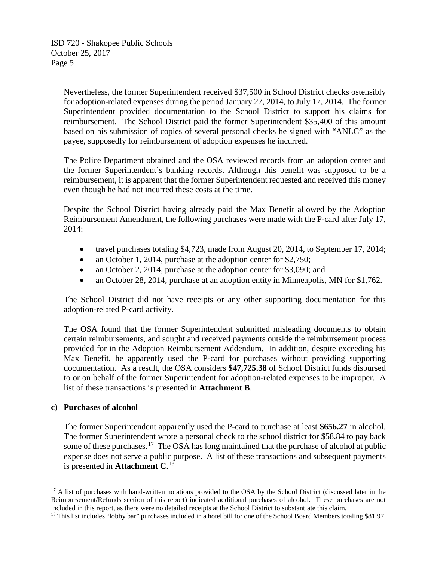> Nevertheless, the former Superintendent received \$37,500 in School District checks ostensibly for adoption-related expenses during the period January 27, 2014, to July 17, 2014. The former Superintendent provided documentation to the School District to support his claims for reimbursement. The School District paid the former Superintendent \$35,400 of this amount based on his submission of copies of several personal checks he signed with "ANLC" as the payee, supposedly for reimbursement of adoption expenses he incurred.

> The Police Department obtained and the OSA reviewed records from an adoption center and the former Superintendent's banking records. Although this benefit was supposed to be a reimbursement, it is apparent that the former Superintendent requested and received this money even though he had not incurred these costs at the time.

> Despite the School District having already paid the Max Benefit allowed by the Adoption Reimbursement Amendment, the following purchases were made with the P-card after July 17, 2014:

- travel purchases totaling \$4,723, made from August 20, 2014, to September 17, 2014;
- an October 1, 2014, purchase at the adoption center for \$2,750;
- an October 2, 2014, purchase at the adoption center for \$3,090; and
- an October 28, 2014, purchase at an adoption entity in Minneapolis, MN for \$1,762.

The School District did not have receipts or any other supporting documentation for this adoption-related P-card activity.

The OSA found that the former Superintendent submitted misleading documents to obtain certain reimbursements, and sought and received payments outside the reimbursement process provided for in the Adoption Reimbursement Addendum. In addition, despite exceeding his Max Benefit, he apparently used the P-card for purchases without providing supporting documentation. As a result, the OSA considers **\$47,725.38** of School District funds disbursed to or on behalf of the former Superintendent for adoption-related expenses to be improper. A list of these transactions is presented in **Attachment B**.

#### **c) Purchases of alcohol**

The former Superintendent apparently used the P-card to purchase at least **\$656.27** in alcohol. The former Superintendent wrote a personal check to the school district for \$58.84 to pay back some of these purchases.<sup>[17](#page-9-0)</sup> The OSA has long maintained that the purchase of alcohol at public expense does not serve a public purpose. A list of these transactions and subsequent payments is presented in **Attachment C**. [18](#page-9-1)

<span id="page-9-0"></span><sup>&</sup>lt;sup>17</sup> A list of purchases with hand-written notations provided to the OSA by the School District (discussed later in the Reimbursement/Refunds section of this report) indicated additional purchases of alcohol. These purchases are not included in this report, as there were no detailed receipts at the School District to substantiate this claim.

<span id="page-9-1"></span><sup>&</sup>lt;sup>18</sup> This list includes "lobby bar" purchases included in a hotel bill for one of the School Board Members totaling \$81.97.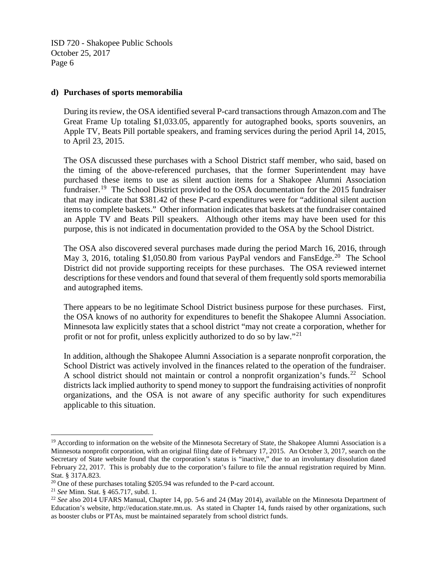#### **d) Purchases of sports memorabilia**

During its review, the OSA identified several P-card transactions through Amazon.com and The Great Frame Up totaling \$1,033.05, apparently for autographed books, sports souvenirs, an Apple TV, Beats Pill portable speakers, and framing services during the period April 14, 2015, to April 23, 2015.

The OSA discussed these purchases with a School District staff member, who said, based on the timing of the above-referenced purchases, that the former Superintendent may have purchased these items to use as silent auction items for a Shakopee Alumni Association fundraiser.<sup>[19](#page-10-0)</sup> The School District provided to the OSA documentation for the 2015 fundraiser that may indicate that \$381.42 of these P-card expenditures were for "additional silent auction items to complete baskets." Other information indicates that baskets at the fundraiser contained an Apple TV and Beats Pill speakers. Although other items may have been used for this purpose, this is not indicated in documentation provided to the OSA by the School District.

The OSA also discovered several purchases made during the period March 16, 2016, through May 3, [20](#page-10-1)16, totaling \$1,050.80 from various PayPal vendors and FansEdge.<sup>20</sup> The School District did not provide supporting receipts for these purchases. The OSA reviewed internet descriptions for these vendors and found that several of them frequently sold sports memorabilia and autographed items.

There appears to be no legitimate School District business purpose for these purchases. First, the OSA knows of no authority for expenditures to benefit the Shakopee Alumni Association. Minnesota law explicitly states that a school district "may not create a corporation, whether for profit or not for profit, unless explicitly authorized to do so by law."<sup>[21](#page-10-2)</sup>

In addition, although the Shakopee Alumni Association is a separate nonprofit corporation, the School District was actively involved in the finances related to the operation of the fundraiser. A school district should not maintain or control a nonprofit organization's funds.<sup>[22](#page-10-3)</sup> School districts lack implied authority to spend money to support the fundraising activities of nonprofit organizations, and the OSA is not aware of any specific authority for such expenditures applicable to this situation.

<span id="page-10-0"></span><sup>&</sup>lt;sup>19</sup> According to information on the website of the Minnesota Secretary of State, the Shakopee Alumni Association is a Minnesota nonprofit corporation, with an original filing date of February 17, 2015. An October 3, 2017, search on the Secretary of State website found that the corporation's status is "inactive," due to an involuntary dissolution dated February 22, 2017. This is probably due to the corporation's failure to file the annual registration required by Minn. Stat. § 317A.823.

<span id="page-10-1"></span><sup>&</sup>lt;sup>20</sup> One of these purchases totaling \$205.94 was refunded to the P-card account.

<span id="page-10-2"></span><sup>21</sup> *See* Minn. Stat. § 465.717, subd. 1.

<span id="page-10-3"></span><sup>22</sup> *See* also 2014 UFARS Manual, Chapter 14, pp. 5-6 and 24 (May 2014), available on the Minnesota Department of Education's website, http://education.state.mn.us. As stated in Chapter 14, funds raised by other organizations, such as booster clubs or PTAs, must be maintained separately from school district funds.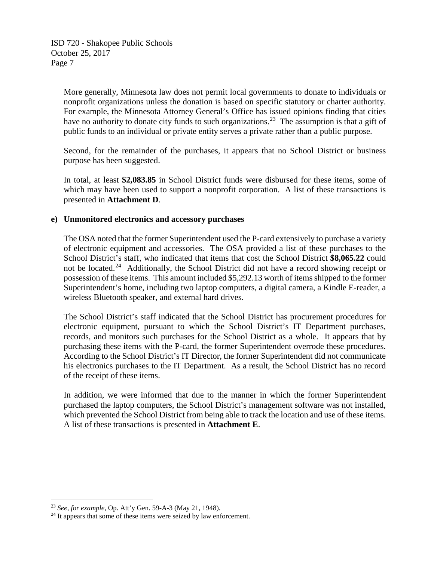> More generally, Minnesota law does not permit local governments to donate to individuals or nonprofit organizations unless the donation is based on specific statutory or charter authority. For example, the Minnesota Attorney General's Office has issued opinions finding that cities have no authority to donate city funds to such organizations.<sup>[23](#page-11-0)</sup> The assumption is that a gift of public funds to an individual or private entity serves a private rather than a public purpose.

> Second, for the remainder of the purchases, it appears that no School District or business purpose has been suggested.

> In total, at least **\$2,083.85** in School District funds were disbursed for these items, some of which may have been used to support a nonprofit corporation. A list of these transactions is presented in **Attachment D**.

#### **e) Unmonitored electronics and accessory purchases**

The OSA noted that the former Superintendent used the P-card extensively to purchase a variety of electronic equipment and accessories. The OSA provided a list of these purchases to the School District's staff, who indicated that items that cost the School District **\$8,065.22** could not be located.<sup>[24](#page-11-1)</sup> Additionally, the School District did not have a record showing receipt or possession of these items. This amount included \$5,292.13 worth of items shipped to the former Superintendent's home, including two laptop computers, a digital camera, a Kindle E-reader, a wireless Bluetooth speaker, and external hard drives.

The School District's staff indicated that the School District has procurement procedures for electronic equipment, pursuant to which the School District's IT Department purchases, records, and monitors such purchases for the School District as a whole. It appears that by purchasing these items with the P-card, the former Superintendent overrode these procedures. According to the School District's IT Director, the former Superintendent did not communicate his electronics purchases to the IT Department. As a result, the School District has no record of the receipt of these items.

In addition, we were informed that due to the manner in which the former Superintendent purchased the laptop computers, the School District's management software was not installed, which prevented the School District from being able to track the location and use of these items. A list of these transactions is presented in **Attachment E**.

<span id="page-11-1"></span><span id="page-11-0"></span><sup>&</sup>lt;sup>23</sup> *See, for example*, Op. Att'y Gen. 59-A-3 (May 21, 1948).<br><sup>24</sup> It appears that some of these items were seized by law enforcement.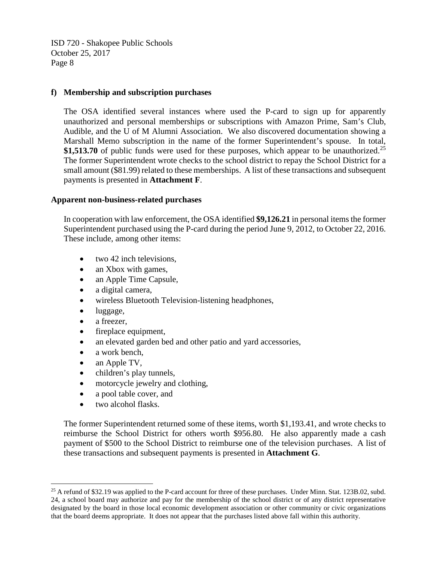#### **f) Membership and subscription purchases**

The OSA identified several instances where used the P-card to sign up for apparently unauthorized and personal memberships or subscriptions with Amazon Prime, Sam's Club, Audible, and the U of M Alumni Association. We also discovered documentation showing a Marshall Memo subscription in the name of the former Superintendent's spouse. In total, \$1,513.70 of public funds were used for these purposes, which appear to be unauthorized.<sup>[25](#page-12-0)</sup> The former Superintendent wrote checks to the school district to repay the School District for a small amount (\$81.99) related to these memberships. A list of these transactions and subsequent payments is presented in **Attachment F**.

#### **Apparent non-business-related purchases**

In cooperation with law enforcement, the OSA identified **\$9,126.21** in personal items the former Superintendent purchased using the P-card during the period June 9, 2012, to October 22, 2016. These include, among other items:

- $\bullet$  two 42 inch televisions,
- an Xbox with games,
- an Apple Time Capsule,
- a digital camera,
- wireless Bluetooth Television-listening headphones,
- luggage,
- a freezer.
- fireplace equipment,
- an elevated garden bed and other patio and yard accessories,
- a work bench,
- an Apple TV,
- children's play tunnels,
- motorcycle jewelry and clothing,
- a pool table cover, and
- two alcohol flasks.

The former Superintendent returned some of these items, worth \$1,193.41, and wrote checks to reimburse the School District for others worth \$956.80. He also apparently made a cash payment of \$500 to the School District to reimburse one of the television purchases. A list of these transactions and subsequent payments is presented in **Attachment G**.

<span id="page-12-0"></span> $25$  A refund of \$32.19 was applied to the P-card account for three of these purchases. Under Minn. Stat. 123B.02, subd. 24, a school board may authorize and pay for the membership of the school district or of any district representative designated by the board in those local economic development association or other community or civic organizations that the board deems appropriate. It does not appear that the purchases listed above fall within this authority.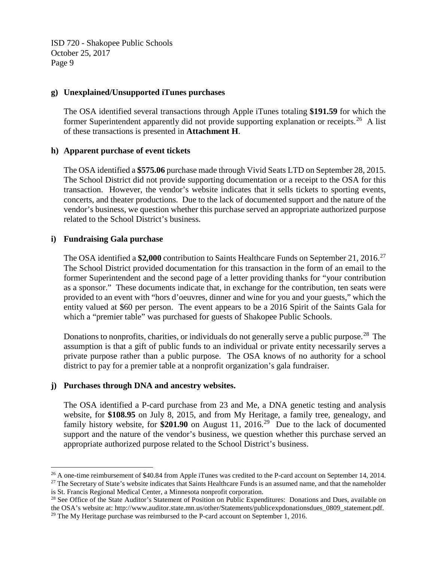#### **g) Unexplained/Unsupported iTunes purchases**

The OSA identified several transactions through Apple iTunes totaling **\$191.59** for which the former Superintendent apparently did not provide supporting explanation or receipts.<sup>26</sup> A list of these transactions is presented in **Attachment H**.

#### **h) Apparent purchase of event tickets**

The OSA identified a **\$575.06** purchase made through Vivid Seats LTD on September 28, 2015. The School District did not provide supporting documentation or a receipt to the OSA for this transaction. However, the vendor's website indicates that it sells tickets to sporting events, concerts, and theater productions. Due to the lack of documented support and the nature of the vendor's business, we question whether this purchase served an appropriate authorized purpose related to the School District's business.

# **i) Fundraising Gala purchase**

The OSA identified a \$2,000 contribution to Saints Healthcare Funds on September 21, 2016.<sup>[27](#page-13-1)</sup> The School District provided documentation for this transaction in the form of an email to the former Superintendent and the second page of a letter providing thanks for "your contribution as a sponsor." These documents indicate that, in exchange for the contribution, ten seats were provided to an event with "hors d'oeuvres, dinner and wine for you and your guests," which the entity valued at \$60 per person. The event appears to be a 2016 Spirit of the Saints Gala for which a "premier table" was purchased for guests of Shakopee Public Schools.

Donations to nonprofits, charities, or individuals do not generally serve a public purpose.<sup>[28](#page-13-2)</sup> The assumption is that a gift of public funds to an individual or private entity necessarily serves a private purpose rather than a public purpose. The OSA knows of no authority for a school district to pay for a premier table at a nonprofit organization's gala fundraiser.

# **j) Purchases through DNA and ancestry websites.**

The OSA identified a P-card purchase from 23 and Me, a DNA genetic testing and analysis website, for **\$108.95** on July 8, 2015, and from My Heritage, a family tree, genealogy, and family history website, for  $$201.90$  on August 11, 2016.<sup>29</sup> Due to the lack of documented support and the nature of the vendor's business, we question whether this purchase served an appropriate authorized purpose related to the School District's business.

<span id="page-13-0"></span><sup>&</sup>lt;sup>26</sup> A one-time reimbursement of \$40.84 from Apple iTunes was credited to the P-card account on September 14, 2014.

<span id="page-13-1"></span><sup>&</sup>lt;sup>27</sup> The Secretary of State's website indicates that Saints Healthcare Funds is an assumed name, and that the nameholder is St. Francis Regional Medical Center, a Minnesota nonprofit corporation.

<span id="page-13-3"></span><span id="page-13-2"></span><sup>&</sup>lt;sup>28</sup> See Office of the State Auditor's Statement of Position on Public Expenditures: Donations and Dues, available on the OSA's website at: http://www.auditor.state.mn.us/other/Statements/publicexpdonationsdues\_0809\_statement.pdf. <sup>29</sup> The My Heritage purchase was reimbursed to the P-card account on September 1, 2016.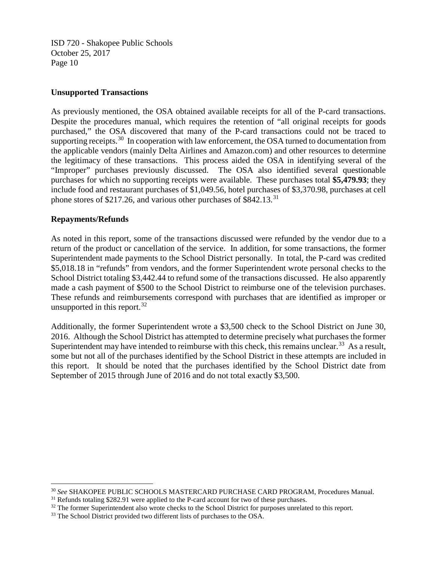#### **Unsupported Transactions**

As previously mentioned, the OSA obtained available receipts for all of the P-card transactions. Despite the procedures manual, which requires the retention of "all original receipts for goods" purchased," the OSA discovered that many of the P-card transactions could not be traced to supporting receipts.<sup>[30](#page-14-0)</sup> In cooperation with law enforcement, the OSA turned to documentation from the applicable vendors (mainly Delta Airlines and Amazon.com) and other resources to determine the legitimacy of these transactions. This process aided the OSA in identifying several of the "Improper" purchases previously discussed. The OSA also identified several questionable purchases for which no supporting receipts were available. These purchases total **\$5,479.93**; they include food and restaurant purchases of \$1,049.56, hotel purchases of \$3,370.98, purchases at cell phone stores of \$217.26, and various other purchases of \$842.13.<sup>[31](#page-14-1)</sup>

# **Repayments/Refunds**

As noted in this report, some of the transactions discussed were refunded by the vendor due to a return of the product or cancellation of the service. In addition, for some transactions, the former Superintendent made payments to the School District personally. In total, the P-card was credited \$5,018.18 in "refunds" from vendors, and the former Superintendent wrote personal checks to the School District totaling \$3,442.44 to refund some of the transactions discussed. He also apparently made a cash payment of \$500 to the School District to reimburse one of the television purchases. These refunds and reimbursements correspond with purchases that are identified as improper or unsupported in this report.  $32$ 

Additionally, the former Superintendent wrote a \$3,500 check to the School District on June 30, 2016. Although the School District has attempted to determine precisely what purchases the former Superintendent may have intended to reimburse with this check, this remains unclear.<sup>[33](#page-14-3)</sup> As a result, some but not all of the purchases identified by the School District in these attempts are included in this report. It should be noted that the purchases identified by the School District date from September of 2015 through June of 2016 and do not total exactly \$3,500.

<span id="page-14-0"></span> <sup>30</sup> *See* SHAKOPEE PUBLIC SCHOOLS MASTERCARD PURCHASE CARD PROGRAM, Procedures Manual.

<span id="page-14-1"></span><sup>&</sup>lt;sup>31</sup> Refunds totaling \$282.91 were applied to the P-card account for two of these purchases.

<span id="page-14-2"></span><sup>&</sup>lt;sup>32</sup> The former Superintendent also wrote checks to the School District for purposes unrelated to this report.

<span id="page-14-3"></span><sup>&</sup>lt;sup>33</sup> The School District provided two different lists of purchases to the OSA.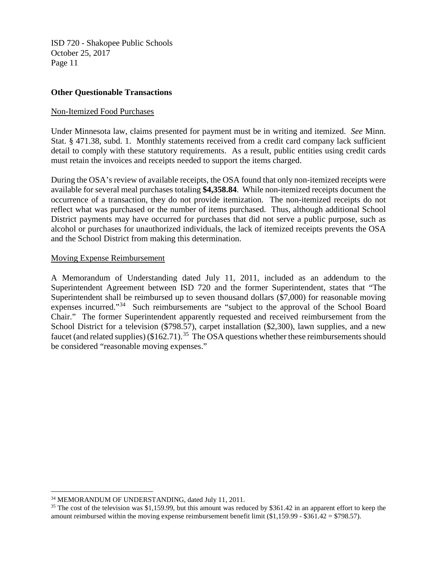#### **Other Questionable Transactions**

#### Non-Itemized Food Purchases

Under Minnesota law, claims presented for payment must be in writing and itemized. *See* Minn. Stat. § 471.38, subd. 1. Monthly statements received from a credit card company lack sufficient detail to comply with these statutory requirements. As a result, public entities using credit cards must retain the invoices and receipts needed to support the items charged.

During the OSA's review of available receipts, the OSA found that only non-itemized receipts were available for several meal purchases totaling **\$4,358.84**. While non-itemized receipts document the occurrence of a transaction, they do not provide itemization. The non-itemized receipts do not reflect what was purchased or the number of items purchased. Thus, although additional School District payments may have occurred for purchases that did not serve a public purpose, such as alcohol or purchases for unauthorized individuals, the lack of itemized receipts prevents the OSA and the School District from making this determination.

#### Moving Expense Reimbursement

A Memorandum of Understanding dated July 11, 2011, included as an addendum to the Superintendent Agreement between ISD 720 and the former Superintendent, states that "The Superintendent shall be reimbursed up to seven thousand dollars (\$7,000) for reasonable moving expenses incurred."[34](#page-15-0) Such reimbursements are "subject to the approval of the School Board Chair." The former Superintendent apparently requested and received reimbursement from the School District for a television (\$798.57), carpet installation (\$2,300), lawn supplies, and a new faucet (and related supplies) (\$162.71).<sup>35</sup> The OSA questions whether these reimbursements should be considered "reasonable moving expenses."

<span id="page-15-0"></span><sup>&</sup>lt;sup>34</sup> MEMORANDUM OF UNDERSTANDING, dated July 11, 2011.

<span id="page-15-1"></span><sup>&</sup>lt;sup>35</sup> The cost of the television was \$1,159.99, but this amount was reduced by \$361.42 in an apparent effort to keep the amount reimbursed within the moving expense reimbursement benefit limit  $(\$1,159.99 - \$361.42 = \$798.57)$ .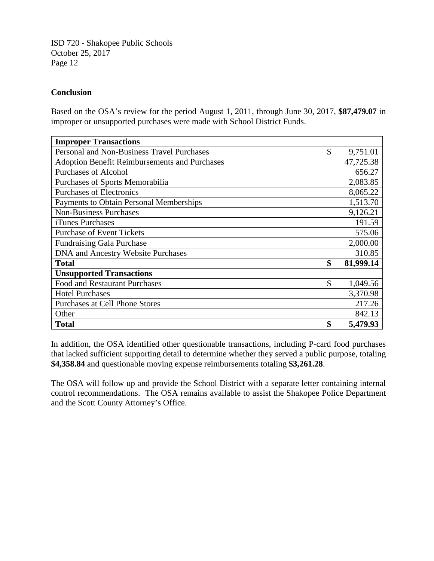# **Conclusion**

Based on the OSA's review for the period August 1, 2011, through June 30, 2017, **\$87,479.07** in improper or unsupported purchases were made with School District Funds.

| <b>Improper Transactions</b>                         |    |           |
|------------------------------------------------------|----|-----------|
| Personal and Non-Business Travel Purchases           | \$ | 9,751.01  |
| <b>Adoption Benefit Reimbursements and Purchases</b> |    | 47,725.38 |
| <b>Purchases of Alcohol</b>                          |    | 656.27    |
| Purchases of Sports Memorabilia                      |    | 2,083.85  |
| <b>Purchases of Electronics</b>                      |    | 8,065.22  |
| <b>Payments to Obtain Personal Memberships</b>       |    | 1,513.70  |
| <b>Non-Business Purchases</b>                        |    | 9,126.21  |
| iTunes Purchases                                     |    | 191.59    |
| <b>Purchase of Event Tickets</b>                     |    | 575.06    |
| <b>Fundraising Gala Purchase</b>                     |    | 2,000.00  |
| <b>DNA</b> and Ancestry Website Purchases            |    | 310.85    |
| <b>Total</b>                                         | \$ | 81,999.14 |
| <b>Unsupported Transactions</b>                      |    |           |
| <b>Food and Restaurant Purchases</b>                 | \$ | 1,049.56  |
| <b>Hotel Purchases</b>                               |    | 3,370.98  |
| Purchases at Cell Phone Stores                       |    | 217.26    |
| Other                                                |    | 842.13    |
| <b>Total</b>                                         | \$ | 5,479.93  |

In addition, the OSA identified other questionable transactions, including P-card food purchases that lacked sufficient supporting detail to determine whether they served a public purpose, totaling **\$4,358.84** and questionable moving expense reimbursements totaling **\$3,261.28**.

The OSA will follow up and provide the School District with a separate letter containing internal control recommendations. The OSA remains available to assist the Shakopee Police Department and the Scott County Attorney's Office.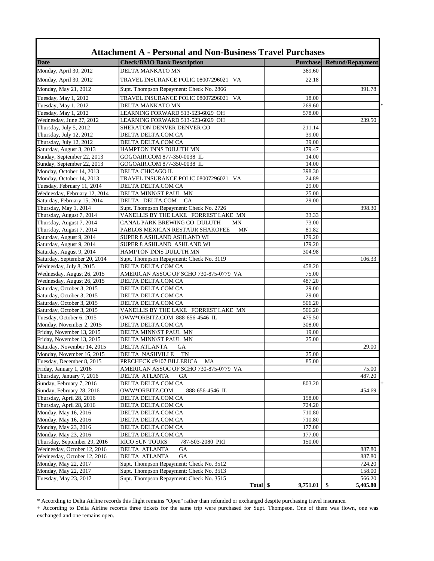| <b>Date</b>                                           | <b>Check/BMO Bank Description</b>                                    | <b>Purchase</b> | <b>Refund/Repayment</b> |
|-------------------------------------------------------|----------------------------------------------------------------------|-----------------|-------------------------|
| Monday, April 30, 2012                                | DELTA MANKATO MN                                                     | 369.60          |                         |
| Monday, April 30, 2012                                | TRAVEL INSURANCE POLIC 08007296021 VA                                | 22.18           |                         |
| Monday, May 21, 2012                                  | Supt. Thompson Repayment: Check No. 2866                             |                 | 391.78                  |
|                                                       |                                                                      |                 |                         |
| Tuesday, May 1, 2012                                  | TRAVEL INSURANCE POLIC 08007296021<br>VA                             | 18.00           |                         |
| Tuesday, May 1, 2012                                  | DELTA MANKATO MN                                                     | 269.60          |                         |
| Tuesday, May 1, 2012<br>Wednesday, June 27, 2012      | LEARNING FORWARD 513-523-6029 OH<br>LEARNING FORWARD 513-523-6029 OH | 578.00          | 239.50                  |
| Thursday, July 5, 2012                                | SHERATON DENVER DENVER CO                                            | 211.14          |                         |
| Thursday, July 12, 2012                               | DELTA DELTA.COM CA                                                   | 39.00           |                         |
| Thursday, July 12, 2012                               | DELTA DELTA.COM CA                                                   | 39.00           |                         |
| Saturday, August 3, 2013                              | HAMPTON INNS DULUTH MN                                               | 179.47          |                         |
| Sunday, September 22, 2013                            | GOGOAIR.COM 877-350-0038 IL                                          | 14.00           |                         |
| Sunday, September 22, 2013                            | GOGOAIR.COM 877-350-0038 IL                                          | 14.00           |                         |
| Monday, October 14, 2013                              | DELTA CHICAGO IL                                                     | 398.30          |                         |
| Monday, October 14, 2013                              | TRAVEL INSURANCE POLIC 08007296021 VA                                | 24.89           |                         |
| Tuesday, February 11, 2014                            | DELTA DELTA.COM CA                                                   | 29.00           |                         |
| Wednesday, February 12, 2014                          | DELTA MINN/ST PAUL MN                                                | 25.00           |                         |
| Saturday, February 15, 2014                           | DELTA DELTA.COM<br>CA                                                | 29.00           |                         |
| Thursday, May 1, 2014                                 | Supt. Thompson Repayment: Check No. 2726                             |                 | 398.30                  |
| Thursday, August 7, 2014                              | VANELLIS BY THE LAKE FORREST LAKE MN                                 | 33.33           |                         |
| Thursday, August 7, 2014                              | CANAL PARK BREWING CO DULUTH<br>MΝ                                   | 73.00           |                         |
| Thursday, August 7, 2014                              | PABLOS MEXICAN RESTAUR SHAKOPEE<br>MΝ                                | 81.82           |                         |
| Saturday, August 9, 2014                              | SUPER 8 ASHLAND ASHLAND WI                                           | 179.20          |                         |
| Saturday, August 9, 2014                              | SUPER 8 ASHLAND ASHLAND WI                                           | 179.20          |                         |
| Saturday, August 9, 2014                              | HAMPTON INNS DULUTH MN                                               | 304.98          |                         |
| Saturday, September 20, 2014                          | Supt. Thompson Repayment: Check No. 3119                             |                 | 106.33                  |
| Wednesday, July 8, 2015                               | DELTA DELTA.COM CA                                                   | 458.20          |                         |
| Wednesday, August 26, 2015                            | AMERICAN ASSOC OF SCHO 730-875-0779 VA                               | 75.00           |                         |
| Wednesday, August 26, 2015                            | DELTA DELTA.COM CA                                                   | 487.20          |                         |
| Saturday, October 3, 2015                             | DELTA DELTA.COM CA                                                   | 29.00           |                         |
| Saturday, October 3, 2015                             | DELTA DELTA.COM CA                                                   | 29.00           |                         |
| Saturday, October 3, 2015                             | DELTA DELTA.COM CA                                                   | 506.20          |                         |
| Saturday, October 3, 2015                             | VANELLIS BY THE LAKE FORREST LAKE MN                                 | 506.20          |                         |
| Tuesday, October 6, 2015                              | OWW*ORBITZ.COM 888-656-4546 IL                                       | 475.50          |                         |
| Monday, November 2, 2015                              | DELTA DELTA.COM CA                                                   | 308.00          |                         |
| Friday, November 13, 2015                             | DELTA MINN/ST PAUL MN                                                | 19.00           |                         |
| Friday, November 13, 2015                             | DELTA MINN/ST PAUL MN                                                | 25.00           |                         |
| Saturday, November 14, 2015                           | DELTA ATLANTA<br><b>GA</b>                                           |                 | 29.00                   |
| Monday, November 16, 2015                             | <b>TN</b><br>DELTA NASHVILLE                                         | 25.00           |                         |
| Tuesday, December 8, 2015                             | PRECHECK #9107 BILLERICA<br>MA                                       | 85.00           |                         |
| Friday, January 1, 2016<br>Thursday, January 7, 2016  | AMERICAN ASSOC OF SCHO 730-875-0779 VA<br>DELTA ATLANTA<br><b>GA</b> |                 | 75.00                   |
|                                                       |                                                                      |                 | 487.20                  |
| Sunday, February 7, 2016                              | DELTA DELTA.COM CA<br>OWW*ORBITZ.COM                                 | 803.20          | 454.69                  |
| Sunday, February 28, 2016<br>Thursday, April 28, 2016 | 888-656-4546 IL<br>DELTA DELTA.COM CA                                | 158.00          |                         |
| Thursday, April 28, 2016                              | DELTA DELTA.COM CA                                                   | 724.20          |                         |
| Monday, May 16, 2016                                  | DELTA DELTA.COM CA                                                   | 710.80          |                         |
| Monday, May 16, 2016                                  | DELTA DELTA.COM CA                                                   | 710.80          |                         |
| Monday, May 23, 2016                                  | DELTA DELTA.COM CA                                                   | 177.00          |                         |
| Monday, May 23, 2016                                  | DELTA DELTA.COM CA                                                   | 177.00          |                         |
| Thursday, September 29, 2016                          | <b>RICO SUN TOURS</b><br>787-503-2080 PRI                            | 150.00          |                         |
| Wednesday, October 12, 2016                           | DELTA ATLANTA<br><b>GA</b>                                           |                 | 887.80                  |
| Wednesday, October 12, 2016                           | DELTA ATLANTA<br><b>GA</b>                                           |                 | 887.80                  |
| Monday, May 22, 2017                                  | Supt. Thompson Repayment: Check No. 3512                             |                 | 724.20                  |
| Monday, May 22, 2017                                  | Supt. Thompson Repayment: Check No. 3513                             |                 | 158.00                  |
| Tuesday, May 23, 2017                                 | Supt. Thompson Repayment: Check No. 3515                             |                 | 566.20                  |
|                                                       | Total \$                                                             | 9,751.01        | 5,405.80<br>- \$        |

\* According to Delta Airline records this flight remains "Open" rather than refunded or exchanged despite purchasing travel insurance.

+ According to Delta Airline records three tickets for the same trip were purchased for Supt. Thompson. One of them was flown, one was exchanged and one remains open.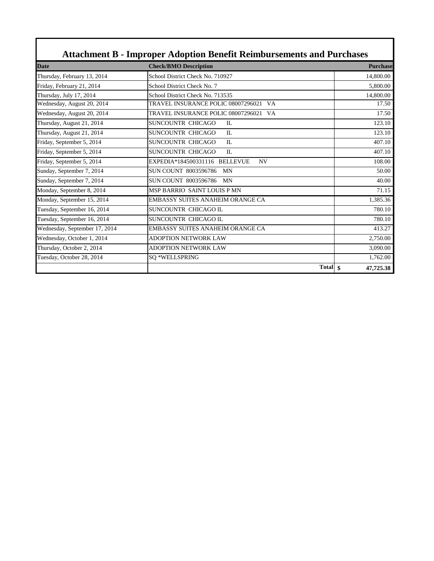| <b>Date</b>                   | <b>Check/BMO Description</b>               | <b>Purchase</b> |
|-------------------------------|--------------------------------------------|-----------------|
| Thursday, February 13, 2014   | School District Check No. 710927           | 14,800.00       |
| Friday, February 21, 2014     | School District Check No. 7                | 5,800.00        |
| Thursday, July 17, 2014       | School District Check No. 713535           | 14,800.00       |
| Wednesday, August 20, 2014    | TRAVEL INSURANCE POLIC 08007296021 VA      | 17.50           |
| Wednesday, August 20, 2014    | TRAVEL INSURANCE POLIC 08007296021 VA      | 17.50           |
| Thursday, August 21, 2014     | SUNCOUNTR CHICAGO<br>$\Pi$ .               | 123.10          |
| Thursday, August 21, 2014     | <b>SUNCOUNTR CHICAGO</b><br>IL             | 123.10          |
| Friday, September 5, 2014     | SUNCOUNTR CHICAGO<br>$\Pi$ .               | 407.10          |
| Friday, September 5, 2014     | <b>SUNCOUNTR CHICAGO</b><br>$\Pi$ .        | 407.10          |
| Friday, September 5, 2014     | EXPEDIA*184500331116 BELLEVUE<br><b>NV</b> | 108.00          |
| Sunday, September 7, 2014     | <b>SUN COUNT 8003596786</b><br><b>MN</b>   | 50.00           |
| Sunday, September 7, 2014     | SUN COUNT 8003596786<br><b>MN</b>          | 40.00           |
| Monday, September 8, 2014     | <b>MSP BARRIO SAINT LOUIS P MN</b>         | 71.15           |
| Monday, September 15, 2014    | EMBASSY SUITES ANAHEIM ORANGE CA           | 1,385.36        |
| Tuesday, September 16, 2014   | SUNCOUNTR CHICAGO IL                       | 780.10          |
| Tuesday, September 16, 2014   | SUNCOUNTR CHICAGO IL                       | 780.10          |
| Wednesday, September 17, 2014 | EMBASSY SUITES ANAHEIM ORANGE CA           | 413.27          |
| Wednesday, October 1, 2014    | <b>ADOPTION NETWORK LAW</b>                | 2,750.00        |
| Thursday, October 2, 2014     | <b>ADOPTION NETWORK LAW</b>                | 3,090.00        |
| Tuesday, October 28, 2014     | SQ *WELLSPRING                             | 1,762.00        |
|                               | <b>Total</b>                               | \$<br>47,725.38 |

Г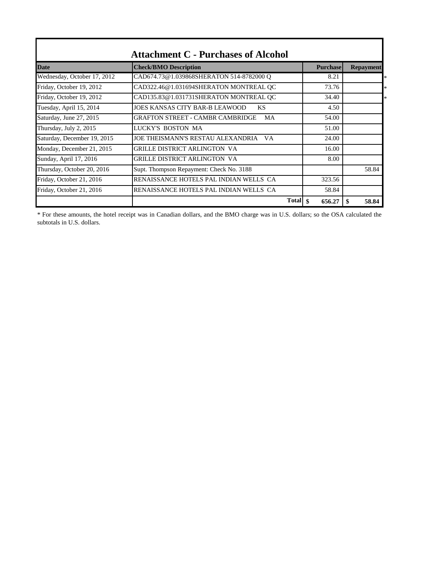| <b>Date</b>                 | <b>Check/BMO Description</b>                    | <b>Purchase</b>              | <b>Repayment</b> |
|-----------------------------|-------------------------------------------------|------------------------------|------------------|
| Wednesday, October 17, 2012 | CAD674.73@1.039868SHERATON 514-8782000 Q        | 8.21                         |                  |
| Friday, October 19, 2012    | CAD322.46@1.031694SHERATON MONTREAL OC          | 73.76                        |                  |
| Friday, October 19, 2012    | CAD135.83@1.031731SHERATON MONTREAL OC          | 34.40                        |                  |
| Tuesday, April 15, 2014     | <b>JOES KANSAS CITY BAR-B LEAWOOD</b><br>KS     | 4.50                         |                  |
| Saturday, June 27, 2015     | GRAFTON STREET - CAMBR CAMBRIDGE<br>MA          | 54.00                        |                  |
| Thursday, July 2, 2015      | LUCKY'S BOSTON MA                               | 51.00                        |                  |
| Saturday, December 19, 2015 | <b>JOE THEISMANN'S RESTAU ALEXANDRIA</b><br>V A | 24.00                        |                  |
| Monday, December 21, 2015   | <b>GRILLE DISTRICT ARLINGTON VA</b>             | 16.00                        |                  |
| Sunday, April 17, 2016      | GRILLE DISTRICT ARLINGTON VA                    | 8.00                         |                  |
| Thursday, October 20, 2016  | Supt. Thompson Repayment: Check No. 3188        |                              | 58.84            |
| Friday, October 21, 2016    | RENAISSANCE HOTELS PAL INDIAN WELLS CA          | 323.56                       |                  |
| Friday, October 21, 2016    | RENAISSANCE HOTELS PAL INDIAN WELLS CA          | 58.84                        |                  |
|                             |                                                 | <b>Total</b><br>\$<br>656.27 | 58.84<br>-S      |

\* For these amounts, the hotel receipt was in Canadian dollars, and the BMO charge was in U.S. dollars; so the OSA calculated the subtotals in U.S. dollars.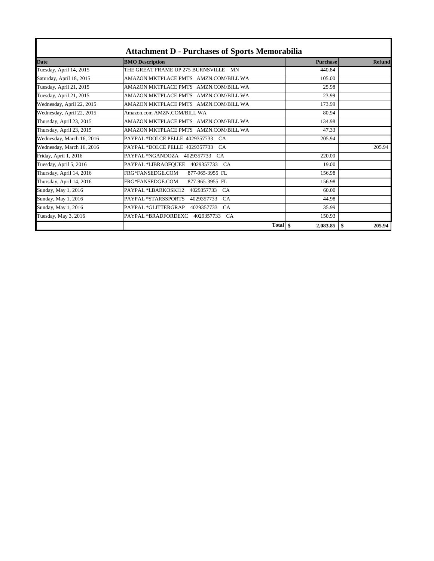|                           | <b>Attachment D - Purchases of Sports Memorabilia</b> |                 |                |
|---------------------------|-------------------------------------------------------|-----------------|----------------|
| <b>Date</b>               | <b>BMO</b> Description                                | <b>Purchase</b> | <b>Refund</b>  |
| Tuesday, April 14, 2015   | THE GREAT FRAME UP 275 BURNSVILLE<br><b>MN</b>        | 440.84          |                |
| Saturday, April 18, 2015  | AMAZON MKTPLACE PMTS AMZN.COM/BILL WA                 | 105.00          |                |
| Tuesday, April 21, 2015   | AMAZON MKTPLACE PMTS AMZN.COM/BILL WA                 | 25.98           |                |
| Tuesday, April 21, 2015   | AMAZON MKTPLACE PMTS AMZN.COM/BILL WA                 | 23.99           |                |
| Wednesday, April 22, 2015 | AMAZON MKTPLACE PMTS AMZN.COM/BILL WA                 | 173.99          |                |
| Wednesday, April 22, 2015 | Amazon.com AMZN.COM/BILL WA                           | 80.94           |                |
| Thursday, April 23, 2015  | AMAZON MKTPLACE PMTS AMZN.COM/BILL WA                 | 134.98          |                |
| Thursday, April 23, 2015  | AMAZON MKTPLACE PMTS AMZN.COM/BILL WA                 | 47.33           |                |
| Wednesday, March 16, 2016 | PAYPAL *DOLCE PELLE 4029357733<br>CA                  | 205.94          |                |
| Wednesday, March 16, 2016 | PAYPAL *DOLCE PELLE 4029357733<br>CA                  |                 | 205.94         |
| Friday, April 1, 2016     | PAYPAL *NGANDOZA<br>4029357733<br>CA                  | 220.00          |                |
| Tuesday, April 5, 2016    | PAYPAL *LIBRAOFQUEE<br>4029357733<br>CA               | 19.00           |                |
| Thursday, April 14, 2016  | FRG*FANSEDGE.COM<br>877-965-3955 FL                   | 156.98          |                |
| Thursday, April 14, 2016  | FRG*FANSEDGE.COM<br>877-965-3955 FL                   | 156.98          |                |
| Sunday, May 1, 2016       | PAYPAL *LBARKOSKI12<br>4029357733<br><b>CA</b>        | 60.00           |                |
| Sunday, May 1, 2016       | PAYPAL *STARSSPORTS<br>4029357733<br>CA               | 44.98           |                |
| Sunday, May 1, 2016       | PAYPAL *GLITTERGRAP<br>4029357733<br><b>CA</b>        | 35.99           |                |
| Tuesday, May 3, 2016      | PAYPAL *BRADFORDEXC<br>4029357733<br><b>CA</b>        | 150.93          |                |
|                           | Total \,                                              | 2,083.85        | - \$<br>205.94 |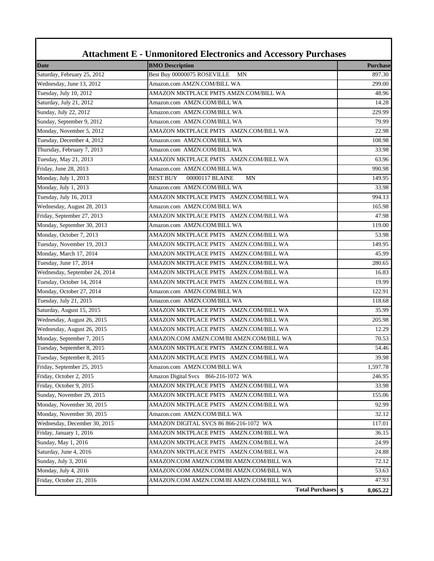| <b>Attachment E - Unmonitored Electronics and Accessory Purchases</b> |                                          |                 |  |
|-----------------------------------------------------------------------|------------------------------------------|-----------------|--|
| <b>Date</b>                                                           | <b>BMO</b> Description                   | <b>Purchase</b> |  |
| Saturday, February 25, 2012                                           | Best Buy 00000075 ROSEVILLE<br>MN        | 897.30          |  |
| Wednesday, June 13, 2012                                              | Amazon.com AMZN.COM/BILL WA              | 299.00          |  |
| Tuesday, July 10, 2012                                                | AMAZON MKTPLACE PMTS AMZN.COM/BILL WA    | 48.96           |  |
| Saturday, July 21, 2012                                               | Amazon.com AMZN.COM/BILL WA              | 14.28           |  |
| Sunday, July 22, 2012                                                 | Amazon.com AMZN.COM/BILL WA              | 229.99          |  |
| Sunday, September 9, 2012                                             | Amazon.com AMZN.COM/BILL WA              | 79.99           |  |
| Monday, November 5, 2012                                              | AMAZON MKTPLACE PMTS AMZN.COM/BILL WA    | 22.98           |  |
| Tuesday, December 4, 2012                                             | Amazon.com AMZN.COM/BILL WA              | 108.98          |  |
| Thursday, February 7, 2013                                            | Amazon.com AMZN.COM/BILL WA              | 33.98           |  |
| Tuesday, May 21, 2013                                                 | AMAZON MKTPLACE PMTS AMZN.COM/BILL WA    | 63.96           |  |
| Friday, June 28, 2013                                                 | Amazon.com AMZN.COM/BILL WA              | 990.98          |  |
| Monday, July 1, 2013                                                  | 00000117 BLAINE<br><b>BEST BUY</b><br>MN | 149.95          |  |
| Monday, July 1, 2013                                                  | Amazon.com AMZN.COM/BILL WA              | 33.98           |  |
| Tuesday, July 16, 2013                                                | AMAZON MKTPLACE PMTS AMZN.COM/BILL WA    | 994.13          |  |
| Wednesday, August 28, 2013                                            | Amazon.com AMZN.COM/BILL WA              | 165.98          |  |
| Friday, September 27, 2013                                            | AMAZON MKTPLACE PMTS AMZN.COM/BILL WA    | 47.98           |  |
| Monday, September 30, 2013                                            | Amazon.com AMZN.COM/BILL WA              | 119.00          |  |
| Monday, October 7, 2013                                               | AMAZON MKTPLACE PMTS AMZN.COM/BILL WA    | 53.98           |  |
| Tuesday, November 19, 2013                                            | AMAZON MKTPLACE PMTS AMZN.COM/BILL WA    | 149.95          |  |
| Monday, March 17, 2014                                                | AMAZON MKTPLACE PMTS AMZN.COM/BILL WA    | 45.99           |  |
| Tuesday, June 17, 2014                                                | AMAZON MKTPLACE PMTS AMZN.COM/BILL WA    | 280.65          |  |
| Wednesday, September 24, 2014                                         | AMAZON MKTPLACE PMTS AMZN.COM/BILL WA    | 16.83           |  |
| Tuesday, October 14, 2014                                             | AMAZON MKTPLACE PMTS AMZN.COM/BILL WA    | 19.99           |  |
| Monday, October 27, 2014                                              | Amazon.com AMZN.COM/BILL WA              | 122.91          |  |
| Tuesday, July 21, 2015                                                | Amazon.com AMZN.COM/BILL WA              | 118.68          |  |
| Saturday, August 15, 2015                                             | AMAZON MKTPLACE PMTS AMZN.COM/BILL WA    | 35.99           |  |
| Wednesday, August 26, 2015                                            | AMAZON MKTPLACE PMTS AMZN.COM/BILL WA    | 205.98          |  |
| Wednesday, August 26, 2015                                            | AMAZON MKTPLACE PMTS AMZN.COM/BILL WA    | 12.29           |  |
| Monday, September 7, 2015                                             | AMAZON.COM AMZN.COM/BI AMZN.COM/BILL WA  | 70.53           |  |
| Tuesday, September 8, 2015                                            | AMAZON MKTPLACE PMTS AMZN.COM/BILL WA    | 54.46           |  |
| Tuesday, September 8, 2015                                            | AMAZON MKTPLACE PMTS AMZN.COM/BILL WA    | 39.98           |  |
| Friday, September 25, 2015                                            | Amazon.com AMZN.COM/BILL WA              | 1,597.78        |  |
| Friday, October 2, 2015                                               | Amazon Digital Svcs 866-216-1072 WA      | 246.95          |  |
| Friday, October 9, 2015                                               | AMAZON MKTPLACE PMTS AMZN.COM/BILL WA    | 33.98           |  |
| Sunday, November 29, 2015                                             | AMAZON MKTPLACE PMTS AMZN.COM/BILL WA    | 155.06          |  |
| Monday, November 30, 2015                                             | AMAZON MKTPLACE PMTS AMZN.COM/BILL WA    | 92.99           |  |
| Monday, November 30, 2015                                             | Amazon.com AMZN.COM/BILL WA              | 32.12           |  |
| Wednesday, December 30, 2015                                          | AMAZON DIGITAL SVCS 86 866-216-1072 WA   | 117.01          |  |
| Friday, January 1, 2016                                               | AMAZON MKTPLACE PMTS AMZN.COM/BILL WA    | 36.15           |  |
| Sunday, May 1, 2016                                                   | AMAZON MKTPLACE PMTS AMZN.COM/BILL WA    | 24.99           |  |
| Saturday, June 4, 2016                                                | AMAZON MKTPLACE PMTS AMZN.COM/BILL WA    | 24.88           |  |
| Sunday, July 3, 2016                                                  | AMAZON.COM AMZN.COM/BI AMZN.COM/BILL WA  | 72.12           |  |
| Monday, July 4, 2016                                                  | AMAZON.COM AMZN.COM/BI AMZN.COM/BILL WA  | 53.63           |  |
| Friday, October 21, 2016                                              | AMAZON.COM AMZN.COM/BI AMZN.COM/BILL WA  | 47.93           |  |
|                                                                       | <b>Total Purchases</b> \$                | 8,065.22        |  |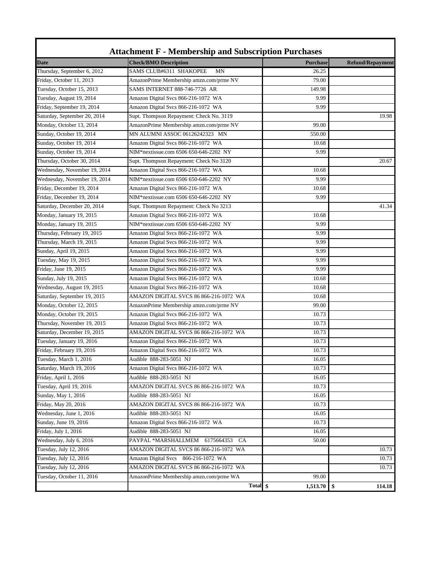| <b>Date</b>                  | <b>Check/BMO Description</b>                | <b>Purchase</b> | <b>Refund/Repayment</b> |
|------------------------------|---------------------------------------------|-----------------|-------------------------|
| Thursday, September 6, 2012  | SAMS CLUB#6311 SHAKOPEE<br><b>MN</b>        | 26.25           |                         |
| Friday, October 11, 2013     | AmazonPrime Membership amzn.com/prme NV     | 79.00           |                         |
| Tuesday, October 15, 2013    | <b>SAMS INTERNET 888-746-7726 AR</b>        | 149.98          |                         |
| Tuesday, August 19, 2014     | Amazon Digital Svcs 866-216-1072 WA         | 9.99            |                         |
| Friday, September 19, 2014   | Amazon Digital Svcs 866-216-1072 WA         | 9.99            |                         |
| Saturday, September 20, 2014 | Supt. Thompson Repayment: Check No. 3119    |                 | 19.98                   |
| Monday, October 13, 2014     | AmazonPrime Membership amzn.com/prme NV     | 99.00           |                         |
| Sunday, October 19, 2014     | MN ALUMNI ASSOC 06126242323 MN              | 550.00          |                         |
| Sunday, October 19, 2014     | Amazon Digital Svcs 866-216-1072 WA         | 10.68           |                         |
| Sunday, October 19, 2014     | NIM*nextissue.com 6506 650-646-2202 NY      | 9.99            |                         |
| Thursday, October 30, 2014   | Supt. Thompson Repayment: Check No 3120     |                 | 20.67                   |
| Wednesday, November 19, 2014 | Amazon Digital Svcs 866-216-1072 WA         | 10.68           |                         |
| Wednesday, November 19, 2014 | NIM*nextissue.com 6506 650-646-2202 NY      | 9.99            |                         |
| Friday, December 19, 2014    | Amazon Digital Svcs 866-216-1072 WA         | 10.68           |                         |
| Friday, December 19, 2014    | NIM*nextissue.com 6506 650-646-2202 NY      | 9.99            |                         |
| Saturday, December 20, 2014  | Supt. Thompson Repayment: Check No 3213     |                 | 41.34                   |
| Monday, January 19, 2015     | Amazon Digital Svcs 866-216-1072 WA         | 10.68           |                         |
| Monday, January 19, 2015     | NIM*nextissue.com 6506 650-646-2202 NY      | 9.99            |                         |
| Thursday, February 19, 2015  | Amazon Digital Svcs 866-216-1072 WA         | 9.99            |                         |
| Thursday, March 19, 2015     | Amazon Digital Svcs 866-216-1072 WA         | 9.99            |                         |
| Sunday, April 19, 2015       | Amazon Digital Svcs 866-216-1072 WA         | 9.99            |                         |
| Tuesday, May 19, 2015        | Amazon Digital Svcs 866-216-1072 WA         | 9.99            |                         |
| Friday, June 19, 2015        | Amazon Digital Svcs 866-216-1072 WA         | 9.99            |                         |
| Sunday, July 19, 2015        | Amazon Digital Svcs 866-216-1072 WA         | 10.68           |                         |
| Wednesday, August 19, 2015   | Amazon Digital Svcs 866-216-1072 WA         | 10.68           |                         |
| Saturday, September 19, 2015 | AMAZON DIGITAL SVCS 86 866-216-1072 WA      | 10.68           |                         |
| Monday, October 12, 2015     | AmazonPrime Membership amzn.com/prme NV     | 99.00           |                         |
| Monday, October 19, 2015     | Amazon Digital Svcs 866-216-1072 WA         | 10.73           |                         |
| Thursday, November 19, 2015  | Amazon Digital Svcs 866-216-1072 WA         | 10.73           |                         |
| Saturday, December 19, 2015  | AMAZON DIGITAL SVCS 86 866-216-1072 WA      | 10.73           |                         |
| Tuesday, January 19, 2016    | Amazon Digital Svcs 866-216-1072 WA         | 10.73           |                         |
| Friday, February 19, 2016    | Amazon Digital Svcs 866-216-1072 WA         | 10.73           |                         |
| Tuesday, March 1, 2016       | Audible 888-283-5051 NJ                     | 16.05           |                         |
| Saturday, March 19, 2016     | Amazon Digital Svcs 866-216-1072 WA         | 10.73           |                         |
| Friday, April 1, 2016        | Audible 888-283-5051 NJ                     | 16.05           |                         |
| Tuesday, April 19, 2016      | AMAZON DIGITAL SVCS 86 866-216-1072 WA      | 10.73           |                         |
| Sunday, May 1, 2016          | Audible 888-283-5051 NJ                     | 16.05           |                         |
| Friday, May 20, 2016         | AMAZON DIGITAL SVCS 86 866-216-1072 WA      | 10.73           |                         |
| Wednesday, June 1, 2016      | Audible 888-283-5051 NJ                     | 16.05           |                         |
| Sunday, June 19, 2016        | Amazon Digital Svcs 866-216-1072 WA         | 10.73           |                         |
| Friday, July 1, 2016         | Audible 888-283-5051 NJ                     | 16.05           |                         |
| Wednesday, July 6, 2016      | PAYPAL *MARSHALLMEM 6175664353<br><b>CA</b> | 50.00           |                         |
| Tuesday, July 12, 2016       | AMAZON DIGITAL SVCS 86 866-216-1072 WA      |                 | 10.73                   |
| Tuesday, July 12, 2016       | Amazon Digital Svcs 866-216-1072 WA         |                 | 10.73                   |
| Tuesday, July 12, 2016       | AMAZON DIGITAL SVCS 86 866-216-1072 WA      |                 | 10.73                   |
| Tuesday, October 11, 2016    | AmazonPrime Membership amzn.com/prme WA     | 99.00           |                         |
|                              |                                             | 1,513.70        | \$<br>114.18            |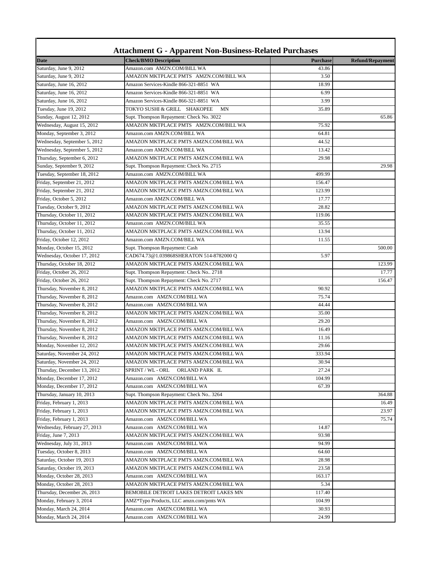|                              | <b>Attachment G - Apparent Non-Business-Related Purchases</b> |                 |                         |
|------------------------------|---------------------------------------------------------------|-----------------|-------------------------|
| <b>Date</b>                  | <b>Check/BMO Description</b>                                  | <b>Purchase</b> | <b>Refund/Repayment</b> |
| Saturday, June 9, 2012       | Amazon.com AMZN.COM/BILL WA                                   | 43.86           |                         |
| Saturday, June 9, 2012       | AMAZON MKTPLACE PMTS AMZN.COM/BILL WA                         | 3.50            |                         |
| Saturday, June 16, 2012      | Amazon Services-Kindle 866-321-8851 WA                        | 18.99           |                         |
| Saturday, June 16, 2012      | Amazon Services-Kindle 866-321-8851 WA                        | 6.99            |                         |
| Saturday, June 16, 2012      | Amazon Services-Kindle 866-321-8851 WA                        | 3.99            |                         |
| Tuesday, June 19, 2012       | TOKYO SUSHI & GRILL SHAKOPEE<br>MN                            | 35.89           |                         |
| Sunday, August 12, 2012      | Supt. Thompson Repayment: Check No. 3022                      |                 | 65.86                   |
| Wednesday, August 15, 2012   | AMAZON MKTPLACE PMTS AMZN.COM/BILL WA                         | 75.92           |                         |
| Monday, September 3, 2012    | Amazon.com AMZN.COM/BILL WA                                   | 64.81           |                         |
| Wednesday, September 5, 2012 | AMAZON MKTPLACE PMTS AMZN.COM/BILL WA                         | 44.52           |                         |
| Wednesday, September 5, 2012 | Amazon.com AMZN.COM/BILL WA                                   | 13.42           |                         |
| Thursday, September 6, 2012  | AMAZON MKTPLACE PMTS AMZN.COM/BILL WA                         | 29.98           |                         |
| Sunday, September 9, 2012    | Supt. Thompson Repayment: Check No. 2715                      |                 | 29.98                   |
| Tuesday, September 18, 2012  | Amazon.com AMZN.COM/BILL WA                                   | 499.99          |                         |
| Friday, September 21, 2012   | AMAZON MKTPLACE PMTS AMZN.COM/BILL WA                         | 156.47          |                         |
| Friday, September 21, 2012   | AMAZON MKTPLACE PMTS AMZN.COM/BILL WA                         | 123.99          |                         |
| Friday, October 5, 2012      | Amazon.com AMZN.COM/BILL WA                                   | 17.77           |                         |
| Tuesday, October 9, 2012     | AMAZON MKTPLACE PMTS AMZN.COM/BILL WA                         | 28.82           |                         |
| Thursday, October 11, 2012   | AMAZON MKTPLACE PMTS AMZN.COM/BILL WA                         | 119.06          |                         |
| Thursday, October 11, 2012   | Amazon.com AMZN.COM/BILL WA                                   | 35.55           |                         |
| Thursday, October 11, 2012   | AMAZON MKTPLACE PMTS AMZN.COM/BILL WA                         | 13.94           |                         |
| Friday, October 12, 2012     | Amazon.com AMZN.COM/BILL WA                                   | 11.55           |                         |
| Monday, October 15, 2012     | Supt. Thompson Repayment: Cash                                |                 | 500.00                  |
| Wednesday, October 17, 2012  | CAD674.73@1.039868SHERATON 514-8782000 Q                      | 5.97            |                         |
| Thursday, October 18, 2012   | AMAZON MKTPLACE PMTS AMZN.COM/BILL WA                         |                 | 123.99                  |
| Friday, October 26, 2012     | Supt. Thompson Repayment: Check No 2718                       |                 | 17.77                   |
| Friday, October 26, 2012     | Supt. Thompson Repayment: Check No. 2717                      |                 | 156.47                  |
| Thursday, November 8, 2012   | AMAZON MKTPLACE PMTS AMZN.COM/BILL WA                         | 90.92           |                         |
| Thursday, November 8, 2012   | Amazon.com AMZN.COM/BILL WA                                   | 75.74           |                         |
| Thursday, November 8, 2012   | Amazon.com AMZN.COM/BILL WA                                   | 44.44           |                         |
| Thursday, November 8, 2012   | AMAZON MKTPLACE PMTS AMZN.COM/BILL WA                         | 35.00           |                         |
| Thursday, November 8, 2012   | Amazon.com AMZN.COM/BILL WA                                   | 29.20           |                         |
| Thursday, November 8, 2012   | AMAZON MKTPLACE PMTS AMZN.COM/BILL WA                         | 16.49           |                         |
| Thursday, November 8, 2012   | AMAZON MKTPLACE PMTS AMZN.COM/BILL WA                         | 11.16           |                         |
| Monday, November 12, 2012    | AMAZON MKTPLACE PMTS AMZN.COM/BILL WA                         | 29.66           |                         |
| Saturday, November 24, 2012  | AMAZON MKTPLACE PMTS AMZN.COM/BILL WA                         | 333.94          |                         |
| Saturday, November 24, 2012  | AMAZON MKTPLACE PMTS AMZN.COM/BILL WA                         | 30.94           |                         |
| Thursday, December 13, 2012  | SPRINT / WL - ORL<br>ORLAND PARK IL                           | 27.24           |                         |
| Monday, December 17, 2012    | Amazon.com AMZN.COM/BILL WA                                   | 104.99          |                         |
|                              |                                                               |                 |                         |
| Monday, December 17, 2012    | Amazon.com AMZN.COM/BILL WA                                   | 67.39           |                         |
| Thursday, January 10, 2013   | Supt. Thompson Repayment: Check No 3264                       |                 | 364.88                  |
| Friday, February 1, 2013     | AMAZON MKTPLACE PMTS AMZN.COM/BILL WA                         |                 | 16.49                   |
| Friday, February 1, 2013     | AMAZON MKTPLACE PMTS AMZN.COM/BILL WA                         |                 | 23.97                   |
| Friday, February 1, 2013     | Amazon.com AMZN.COM/BILL WA                                   |                 | 75.74                   |
| Wednesday, February 27, 2013 | Amazon.com AMZN.COM/BILL WA                                   | 14.87           |                         |
| Friday, June 7, 2013         | AMAZON MKTPLACE PMTS AMZN.COM/BILL WA                         | 93.98           |                         |
| Wednesday, July 31, 2013     | Amazon.com AMZN.COM/BILL WA                                   | 94.99           |                         |
| Tuesday, October 8, 2013     | Amazon.com AMZN.COM/BILL WA                                   | 64.60           |                         |
| Saturday, October 19, 2013   | AMAZON MKTPLACE PMTS AMZN.COM/BILL WA                         | 28.98           |                         |
| Saturday, October 19, 2013   | AMAZON MKTPLACE PMTS AMZN.COM/BILL WA                         | 23.58           |                         |
| Monday, October 28, 2013     | Amazon.com AMZN.COM/BILL WA                                   | 163.17          |                         |
| Monday, October 28, 2013     | AMAZON MKTPLACE PMTS AMZN.COM/BILL WA                         | 5.34            |                         |
| Thursday, December 26, 2013  | BEMOBILE DETROIT LAKES DETROIT LAKES MN                       | 117.40          |                         |
| Monday, February 3, 2014     | AMZ*Typo Products, LLC amzn.com/pmts WA                       | 104.99          |                         |
| Monday, March 24, 2014       | Amazon.com AMZN.COM/BILL WA                                   | 30.93           |                         |
| Monday, March 24, 2014       | Amazon.com AMZN.COM/BILL WA                                   | 24.99           |                         |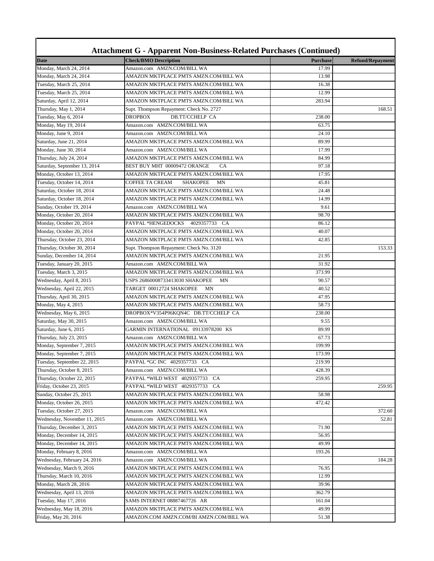| <b>Attachment G - Apparent Non-Business-Related Purchases (Continued)</b> |                                          |                 |                         |  |
|---------------------------------------------------------------------------|------------------------------------------|-----------------|-------------------------|--|
| Date                                                                      | <b>Check/BMO Description</b>             | <b>Purchase</b> | <b>Refund/Repayment</b> |  |
| Monday, March 24, 2014                                                    | Amazon.com AMZN.COM/BILL WA              | 17.99           |                         |  |
| Monday, March 24, 2014                                                    | AMAZON MKTPLACE PMTS AMZN.COM/BILL WA    | 13.98           |                         |  |
| Tuesday, March 25, 2014                                                   | AMAZON MKTPLACE PMTS AMZN.COM/BILL WA    | 16.38           |                         |  |
| Tuesday, March 25, 2014                                                   | AMAZON MKTPLACE PMTS AMZN.COM/BILL WA    | 12.99           |                         |  |
| Saturday, April 12, 2014                                                  | AMAZON MKTPLACE PMTS AMZN.COM/BILL WA    | 283.94          |                         |  |
| Thursday, May 1, 2014                                                     | Supt. Thompson Repayment: Check No. 2727 |                 | 168.51                  |  |
| Tuesday, May 6, 2014                                                      | <b>DB.TT/CCHELP CA</b><br><b>DROPBOX</b> | 238.00          |                         |  |
| Monday, May 19, 2014                                                      | Amazon.com AMZN.COM/BILL WA              | 63.75           |                         |  |
| Monday, June 9, 2014                                                      | Amazon.com AMZN.COM/BILL WA              | 24.10           |                         |  |
| Saturday, June 21, 2014                                                   | AMAZON MKTPLACE PMTS AMZN.COM/BILL WA    | 89.99           |                         |  |
| Monday, June 30, 2014                                                     | Amazon.com AMZN.COM/BILL WA              | 17.99           |                         |  |
| Thursday, July 24, 2014                                                   | AMAZON MKTPLACE PMTS AMZN.COM/BILL WA    | 84.99           |                         |  |
| Saturday, September 13, 2014                                              | BEST BUY MHT 00009472 ORANGE<br>CA       | 97.18           |                         |  |
| Monday, October 13, 2014                                                  | AMAZON MKTPLACE PMTS AMZN.COM/BILL WA    | 17.95           |                         |  |
| Tuesday, October 14, 2014                                                 | COFFEE TA CREAM<br><b>SHAKOPEE</b><br>MN | 45.81           |                         |  |
| Saturday, October 18, 2014                                                | AMAZON MKTPLACE PMTS AMZN.COM/BILL WA    | 24.48           |                         |  |
| Saturday, October 18, 2014                                                | AMAZON MKTPLACE PMTS AMZN.COM/BILL WA    | 14.99           |                         |  |
| Sunday, October 19, 2014                                                  | Amazon.com AMZN.COM/BILL WA              | 9.61            |                         |  |
| Monday, October 20, 2014                                                  | AMAZON MKTPLACE PMTS AMZN.COM/BILL WA    | 98.70           |                         |  |
| Monday, October 20, 2014                                                  | PAYPAL *HENGEDOCKS<br>4029357733 CA      | 86.12           |                         |  |
| Monday, October 20, 2014                                                  | AMAZON MKTPLACE PMTS AMZN.COM/BILL WA    | 40.07           |                         |  |
| Thursday, October 23, 2014                                                | AMAZON MKTPLACE PMTS AMZN.COM/BILL WA    | 42.85           |                         |  |
| Thursday, October 30, 2014                                                | Supt. Thompson Repayment: Check No. 3120 |                 | 153.33                  |  |
| Sunday, December 14, 2014                                                 | AMAZON MKTPLACE PMTS AMZN.COM/BILL WA    | 21.95           |                         |  |
| Tuesday, January 20, 2015                                                 | Amazon.com AMZN.COM/BILL WA              | 31.92           |                         |  |
| Tuesday, March 3, 2015                                                    | AMAZON MKTPLACE PMTS AMZN.COM/BILL WA    | 373.99          |                         |  |
| Wednesday, April 8, 2015                                                  | USPS 26860008733413030 SHAKOPEE<br>MN    | 90.57           |                         |  |
| Wednesday, April 22, 2015                                                 | TARGET 00012724 SHAKOPEE<br>MN           | 40.52           |                         |  |
| Thursday, April 30, 2015                                                  | AMAZON MKTPLACE PMTS AMZN.COM/BILL WA    | 47.95           |                         |  |
| Monday, May 4, 2015                                                       | AMAZON MKTPLACE PMTS AMZN.COM/BILL WA    | 58.73           |                         |  |
| Wednesday, May 6, 2015                                                    | DROPBOX*V354P96KQN4C DB.TT/CCHELP CA     | 238.00          |                         |  |
| Saturday, May 30, 2015                                                    | Amazon.com AMZN.COM/BILL WA              | 9.55            |                         |  |
| Saturday, June 6, 2015                                                    | GARMIN INTERNATIONAL 09133978200 KS      | 89.99           |                         |  |
| Thursday, July 23, 2015                                                   | Amazon.com AMZN.COM/BILL WA              | 67.73           |                         |  |
| Monday, September 7, 2015                                                 | AMAZON MKTPLACE PMTS AMZN.COM/BILL WA    | 199.99          |                         |  |
| Monday, September 7, 2015                                                 | AMAZON MKTPLACE PMTS AMZN.COM/BILL WA    | 173.99          |                         |  |
| Tuesday, September 22, 2015                                               | PAYPAL *GC INC 4029357733 CA             | 219.99          |                         |  |
| Thursday, October 8, 2015                                                 | Amazon.com AMZN.COM/BILL WA              | 428.39          |                         |  |
| Thursday, October 22, 2015                                                | PAYPAL *WILD WEST 4029357733<br>CA       | 259.95          |                         |  |
| Friday, October 23, 2015                                                  | PAYPAL *WILD WEST 4029357733<br>CA       |                 | 259.95                  |  |
| Sunday, October 25, 2015                                                  | AMAZON MKTPLACE PMTS AMZN.COM/BILL WA    | 58.98           |                         |  |
| Monday, October 26, 2015                                                  | AMAZON MKTPLACE PMTS AMZN.COM/BILL WA    | 472.42          |                         |  |
| Tuesday, October 27, 2015                                                 | Amazon.com AMZN.COM/BILL WA              |                 | 372.60                  |  |
| Wednesday, November 11, 2015                                              | Amazon.com AMZN.COM/BILL WA              |                 | 52.81                   |  |
| Thursday, December 3, 2015                                                | AMAZON MKTPLACE PMTS AMZN.COM/BILL WA    | 71.90           |                         |  |
| Monday, December 14, 2015                                                 | AMAZON MKTPLACE PMTS AMZN.COM/BILL WA    | 56.95           |                         |  |
| Monday, December 14, 2015                                                 | AMAZON MKTPLACE PMTS AMZN.COM/BILL WA    | 49.99           |                         |  |
| Monday, February 8, 2016                                                  | Amazon.com AMZN.COM/BILL WA              | 193.26          |                         |  |
| Wednesday, February 24, 2016                                              | Amazon.com AMZN.COM/BILL WA              |                 | 184.28                  |  |
| Wednesday, March 9, 2016                                                  | AMAZON MKTPLACE PMTS AMZN.COM/BILL WA    | 76.95           |                         |  |
| Thursday, March 10, 2016                                                  | AMAZON MKTPLACE PMTS AMZN.COM/BILL WA    | 12.99           |                         |  |
|                                                                           |                                          | 39.96           |                         |  |
| Monday, March 28, 2016                                                    | AMAZON MKTPLACE PMTS AMZN.COM/BILL WA    |                 |                         |  |
| Wednesday, April 13, 2016                                                 | AMAZON MKTPLACE PMTS AMZN.COM/BILL WA    | 362.79          |                         |  |
| Tuesday, May 17, 2016                                                     | SAMS INTERNET 08887467726 AR             | 161.04          |                         |  |
| Wednesday, May 18, 2016                                                   | AMAZON MKTPLACE PMTS AMZN.COM/BILL WA    | 49.99           |                         |  |
| Friday, May 20, 2016                                                      | AMAZON.COM AMZN.COM/BI AMZN.COM/BILL WA  | 51.38           |                         |  |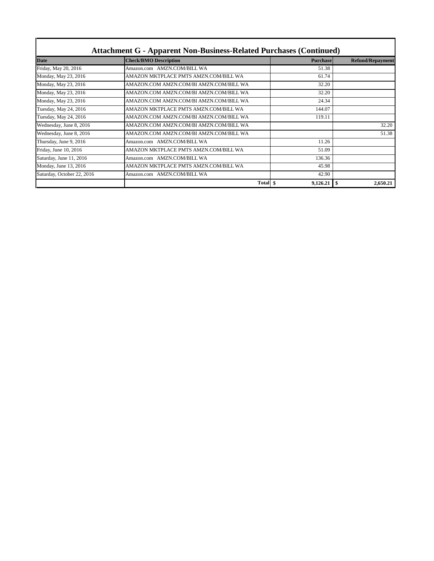| <b>Attachment G - Apparent Non-Business-Related Purchases (Continued)</b> |                                         |                 |                         |
|---------------------------------------------------------------------------|-----------------------------------------|-----------------|-------------------------|
| <b>Date</b>                                                               | <b>Check/BMO Description</b>            | <b>Purchase</b> | <b>Refund/Repayment</b> |
| Friday, May 20, 2016                                                      | Amazon.com AMZN.COM/BILL WA             | 51.38           |                         |
| Monday, May 23, 2016                                                      | AMAZON MKTPLACE PMTS AMZN.COM/BILL WA   | 61.74           |                         |
| Monday, May 23, 2016                                                      | AMAZON.COM AMZN.COM/BI AMZN.COM/BILL WA | 32.20           |                         |
| Monday, May 23, 2016                                                      | AMAZON.COM AMZN.COM/BI AMZN.COM/BILL WA | 32.20           |                         |
| Monday, May 23, 2016                                                      | AMAZON.COM AMZN.COM/BI AMZN.COM/BILL WA | 24.34           |                         |
| Tuesday, May 24, 2016                                                     | AMAZON MKTPLACE PMTS AMZN.COM/BILL WA   | 144.07          |                         |
| Tuesday, May 24, 2016                                                     | AMAZON.COM AMZN.COM/BI AMZN.COM/BILL WA | 119.11          |                         |
| Wednesday, June 8, 2016                                                   | AMAZON.COM AMZN.COM/BI AMZN.COM/BILL WA |                 | 32.20                   |
| Wednesday, June 8, 2016                                                   | AMAZON.COM AMZN.COM/BI AMZN.COM/BILL WA |                 | 51.38                   |
| Thursday, June 9, 2016                                                    | Amazon.com AMZN.COM/BILL WA             | 11.26           |                         |
| Friday, June 10, 2016                                                     | AMAZON MKTPLACE PMTS AMZN.COM/BILL WA   | 51.09           |                         |
| Saturday, June 11, 2016                                                   | <b>AMZN.COM/BILL WA</b><br>Amazon.com   | 136.36          |                         |
| Monday, June 13, 2016                                                     | AMAZON MKTPLACE PMTS AMZN.COM/BILL WA   | 45.98           |                         |
| Saturday, October 22, 2016                                                | Amazon.com AMZN.COM/BILL WA             | 42.90           |                         |
|                                                                           | Total \,                                |                 | 2,650.21                |

T